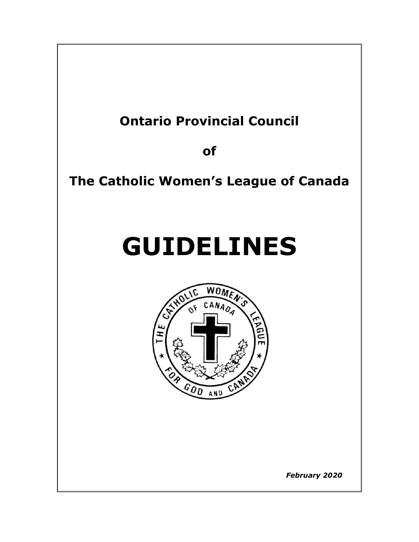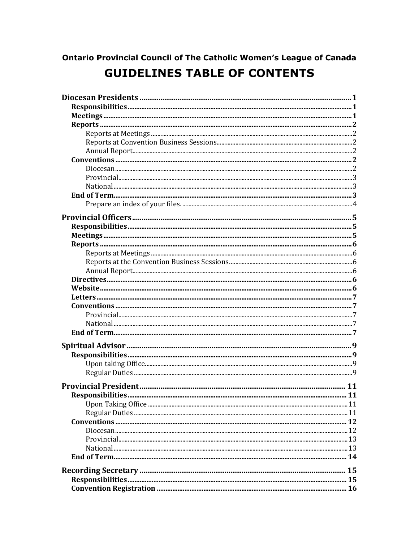# **Ontario Provincial Council of The Catholic Women's League of Canada GUIDELINES TABLE OF CONTENTS**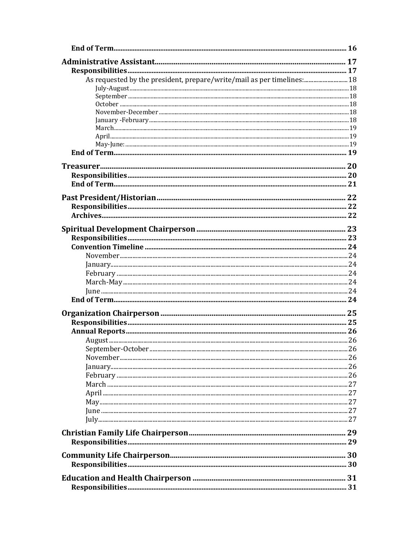| As requested by the president, prepare/write/mail as per timelines: 18 |  |
|------------------------------------------------------------------------|--|
|                                                                        |  |
|                                                                        |  |
|                                                                        |  |
|                                                                        |  |
|                                                                        |  |
|                                                                        |  |
|                                                                        |  |
|                                                                        |  |
|                                                                        |  |
|                                                                        |  |
|                                                                        |  |
|                                                                        |  |
|                                                                        |  |
|                                                                        |  |
|                                                                        |  |
|                                                                        |  |
|                                                                        |  |
|                                                                        |  |
|                                                                        |  |
|                                                                        |  |
|                                                                        |  |
|                                                                        |  |
|                                                                        |  |
|                                                                        |  |
|                                                                        |  |
|                                                                        |  |
|                                                                        |  |
|                                                                        |  |
|                                                                        |  |
|                                                                        |  |
|                                                                        |  |
|                                                                        |  |
|                                                                        |  |
|                                                                        |  |
|                                                                        |  |
|                                                                        |  |
|                                                                        |  |
|                                                                        |  |
|                                                                        |  |
|                                                                        |  |
|                                                                        |  |
|                                                                        |  |
|                                                                        |  |
|                                                                        |  |
|                                                                        |  |
|                                                                        |  |
|                                                                        |  |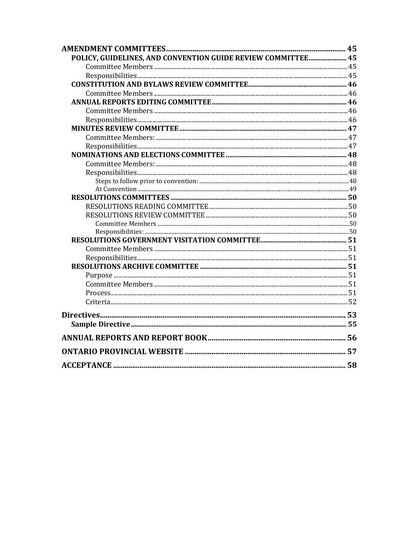| POLICY, GUIDELINES, AND CONVENTION GUIDE REVIEW COMMITTEE 45 |  |
|--------------------------------------------------------------|--|
|                                                              |  |
|                                                              |  |
|                                                              |  |
|                                                              |  |
|                                                              |  |
|                                                              |  |
|                                                              |  |
|                                                              |  |
|                                                              |  |
|                                                              |  |
|                                                              |  |
|                                                              |  |
|                                                              |  |
|                                                              |  |
|                                                              |  |
|                                                              |  |
|                                                              |  |
|                                                              |  |
|                                                              |  |
|                                                              |  |
|                                                              |  |
|                                                              |  |
|                                                              |  |
|                                                              |  |
|                                                              |  |
|                                                              |  |
|                                                              |  |
|                                                              |  |
|                                                              |  |
|                                                              |  |
|                                                              |  |
|                                                              |  |
|                                                              |  |
|                                                              |  |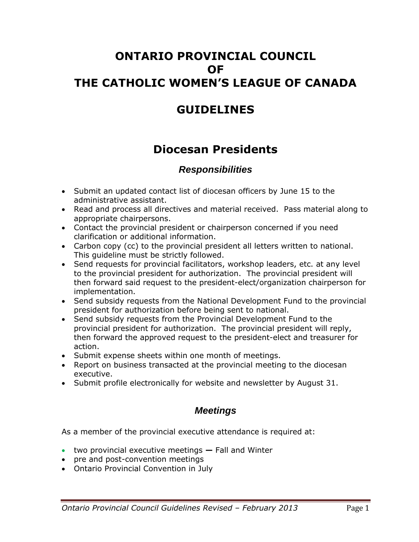## **ONTARIO PROVINCIAL COUNCIL OF THE CATHOLIC WOMEN'S LEAGUE OF CANADA**

## **GUIDELINES**

# **Diocesan Presidents**

## *Responsibilities*

- Submit an updated contact list of diocesan officers by June 15 to the administrative assistant.
- Read and process all directives and material received. Pass material along to appropriate chairpersons.
- Contact the provincial president or chairperson concerned if you need clarification or additional information.
- Carbon copy (cc) to the provincial president all letters written to national. This guideline must be strictly followed.
- Send requests for provincial facilitators, workshop leaders, etc. at any level to the provincial president for authorization. The provincial president will then forward said request to the president-elect/organization chairperson for implementation.
- Send subsidy requests from the National Development Fund to the provincial president for authorization before being sent to national.
- Send subsidy requests from the Provincial Development Fund to the provincial president for authorization. The provincial president will reply, then forward the approved request to the president-elect and treasurer for action.
- Submit expense sheets within one month of meetings.
- Report on business transacted at the provincial meeting to the diocesan executive.
- Submit profile electronically for website and newsletter by August 31.

### *Meetings*

As a member of the provincial executive attendance is required at:

- two provincial executive meetings **—** Fall and Winter
- pre and post-convention meetings
- Ontario Provincial Convention in July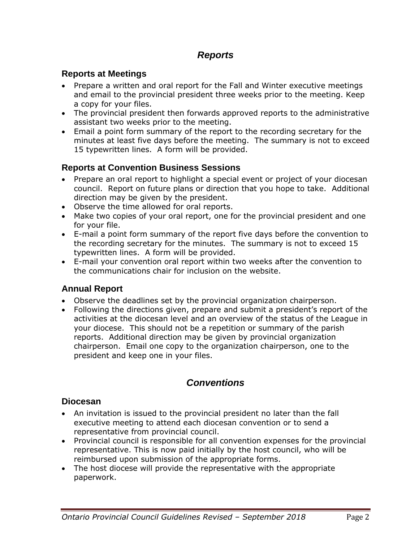## *Reports*

#### **Reports at Meetings**

- Prepare a written and oral report for the Fall and Winter executive meetings and email to the provincial president three weeks prior to the meeting. Keep a copy for your files.
- The provincial president then forwards approved reports to the administrative assistant two weeks prior to the meeting.
- Email a point form summary of the report to the recording secretary for the minutes at least five days before the meeting. The summary is not to exceed 15 typewritten lines. A form will be provided.

#### **Reports at Convention Business Sessions**

- Prepare an oral report to highlight a special event or project of your diocesan council. Report on future plans or direction that you hope to take. Additional direction may be given by the president.
- Observe the time allowed for oral reports.
- Make two copies of your oral report, one for the provincial president and one for your file.
- E-mail a point form summary of the report five days before the convention to the recording secretary for the minutes. The summary is not to exceed 15 typewritten lines. A form will be provided.
- E-mail your convention oral report within two weeks after the convention to the communications chair for inclusion on the website.

#### **Annual Report**

- Observe the deadlines set by the provincial organization chairperson.
- Following the directions given, prepare and submit a president's report of the activities at the diocesan level and an overview of the status of the League in your diocese. This should not be a repetition or summary of the parish reports. Additional direction may be given by provincial organization chairperson. Email one copy to the organization chairperson, one to the president and keep one in your files.

### *Conventions*

#### **Diocesan**

- An invitation is issued to the provincial president no later than the fall executive meeting to attend each diocesan convention or to send a representative from provincial council.
- Provincial council is responsible for all convention expenses for the provincial representative. This is now paid initially by the host council, who will be reimbursed upon submission of the appropriate forms.
- The host diocese will provide the representative with the appropriate paperwork.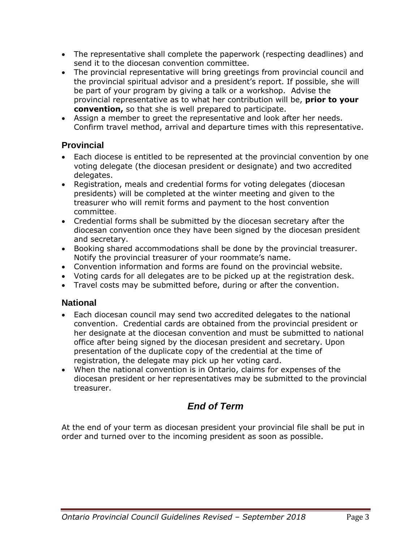- The representative shall complete the paperwork (respecting deadlines) and send it to the diocesan convention committee.
- The provincial representative will bring greetings from provincial council and the provincial spiritual advisor and a president's report. If possible, she will be part of your program by giving a talk or a workshop. Advise the provincial representative as to what her contribution will be, **prior to your convention,** so that she is well prepared to participate.
- Assign a member to greet the representative and look after her needs. Confirm travel method, arrival and departure times with this representative.

#### **Provincial**

- Each diocese is entitled to be represented at the provincial convention by one voting delegate (the diocesan president or designate) and two accredited delegates.
- Registration, meals and credential forms for voting delegates (diocesan presidents) will be completed at the winter meeting and given to the treasurer who will remit forms and payment to the host convention committee.
- Credential forms shall be submitted by the diocesan secretary after the diocesan convention once they have been signed by the diocesan president and secretary.
- Booking shared accommodations shall be done by the provincial treasurer. Notify the provincial treasurer of your roommate's name.
- Convention information and forms are found on the provincial website.
- Voting cards for all delegates are to be picked up at the registration desk.
- Travel costs may be submitted before, during or after the convention.

#### **National**

- Each diocesan council may send two accredited delegates to the national convention. Credential cards are obtained from the provincial president or her designate at the diocesan convention and must be submitted to national office after being signed by the diocesan president and secretary. Upon presentation of the duplicate copy of the credential at the time of registration, the delegate may pick up her voting card.
- When the national convention is in Ontario, claims for expenses of the diocesan president or her representatives may be submitted to the provincial treasurer.

## *End of Term*

At the end of your term as diocesan president your provincial file shall be put in order and turned over to the incoming president as soon as possible.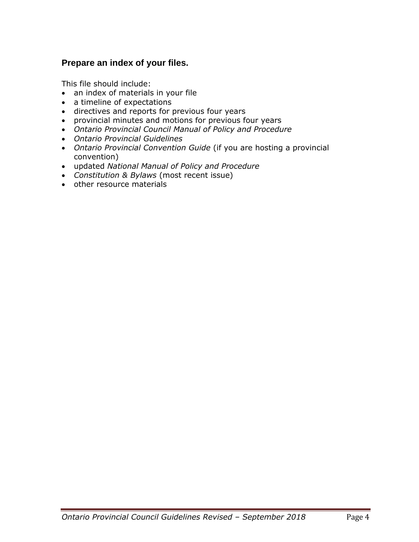#### **Prepare an index of your files.**

This file should include:

- an index of materials in your file
- a timeline of expectations
- directives and reports for previous four years
- provincial minutes and motions for previous four years
- *Ontario Provincial Council Manual of Policy and Procedure*
- *Ontario Provincial Guidelines*
- *Ontario Provincial Convention Guide* (if you are hosting a provincial convention)
- updated *National Manual of Policy and Procedure*
- *Constitution & Bylaws* (most recent issue)
- other resource materials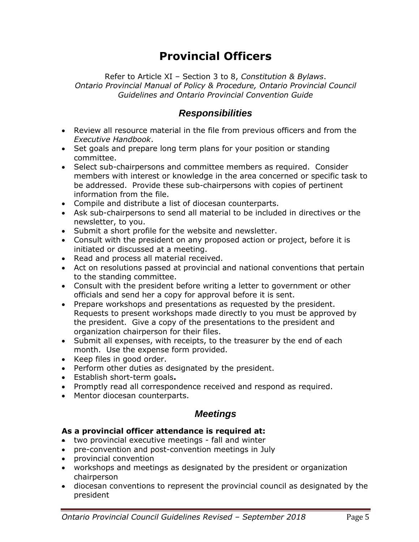# **Provincial Officers**

Refer to Article XI – Section 3 to 8, *Constitution & Bylaws*. *Ontario Provincial Manual of Policy & Procedure, Ontario Provincial Council Guidelines and Ontario Provincial Convention Guide*

### *Responsibilities*

- Review all resource material in the file from previous officers and from the *Executive Handbook*.
- Set goals and prepare long term plans for your position or standing committee.
- Select sub-chairpersons and committee members as required. Consider members with interest or knowledge in the area concerned or specific task to be addressed. Provide these sub-chairpersons with copies of pertinent information from the file.
- Compile and distribute a list of diocesan counterparts.
- Ask sub-chairpersons to send all material to be included in directives or the newsletter, to you.
- Submit a short profile for the website and newsletter.
- Consult with the president on any proposed action or project, before it is initiated or discussed at a meeting.
- Read and process all material received.
- Act on resolutions passed at provincial and national conventions that pertain to the standing committee.
- Consult with the president before writing a letter to government or other officials and send her a copy for approval before it is sent.
- Prepare workshops and presentations as requested by the president. Requests to present workshops made directly to you must be approved by the president. Give a copy of the presentations to the president and organization chairperson for their files.
- Submit all expenses, with receipts, to the treasurer by the end of each month. Use the expense form provided.
- Keep files in good order.
- Perform other duties as designated by the president.
- Establish short-term goals**.**
- Promptly read all correspondence received and respond as required.
- Mentor diocesan counterparts.

#### *Meetings*

#### **As a provincial officer attendance is required at:**

- two provincial executive meetings fall and winter
- pre-convention and post-convention meetings in July
- provincial convention
- workshops and meetings as designated by the president or organization chairperson
- diocesan conventions to represent the provincial council as designated by the president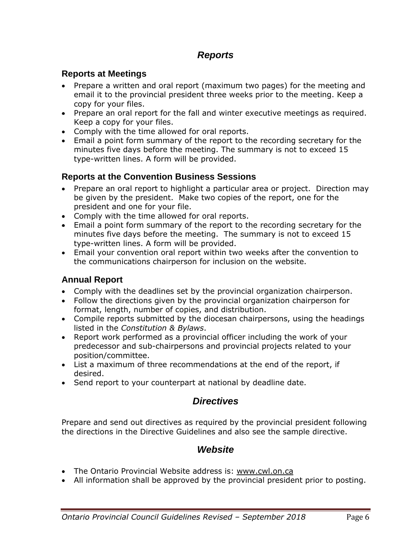## *Reports*

#### **Reports at Meetings**

- Prepare a written and oral report (maximum two pages) for the meeting and email it to the provincial president three weeks prior to the meeting. Keep a copy for your files.
- Prepare an oral report for the fall and winter executive meetings as required. Keep a copy for your files.
- Comply with the time allowed for oral reports.
- Email a point form summary of the report to the recording secretary for the minutes five days before the meeting. The summary is not to exceed 15 type-written lines. A form will be provided.

#### **Reports at the Convention Business Sessions**

- Prepare an oral report to highlight a particular area or project. Direction may be given by the president. Make two copies of the report, one for the president and one for your file.
- Comply with the time allowed for oral reports.
- Email a point form summary of the report to the recording secretary for the minutes five days before the meeting. The summary is not to exceed 15 type-written lines. A form will be provided.
- Email your convention oral report within two weeks after the convention to the communications chairperson for inclusion on the website.

#### **Annual Report**

- Comply with the deadlines set by the provincial organization chairperson.
- Follow the directions given by the provincial organization chairperson for format, length, number of copies, and distribution.
- Compile reports submitted by the diocesan chairpersons, using the headings listed in the *Constitution & Bylaws*.
- Report work performed as a provincial officer including the work of your predecessor and sub-chairpersons and provincial projects related to your position/committee.
- List a maximum of three recommendations at the end of the report, if desired.
- Send report to your counterpart at national by deadline date.

#### *Directives*

Prepare and send out directives as required by the provincial president following the directions in the Directive Guidelines and also see the sample directive.

#### *Website*

- The Ontario Provincial Website address is: [www.cwl.on.ca](http://www.cwl.on.ca/)
- All information shall be approved by the provincial president prior to posting.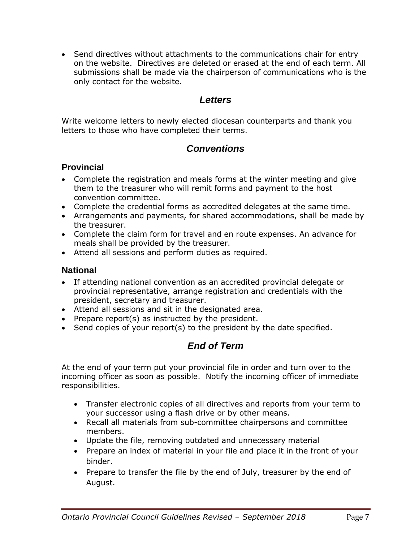• Send directives without attachments to the communications chair for entry on the website. Directives are deleted or erased at the end of each term. All submissions shall be made via the chairperson of communications who is the only contact for the website.

## *Letters*

Write welcome letters to newly elected diocesan counterparts and thank you letters to those who have completed their terms.

## *Conventions*

#### **Provincial**

- Complete the registration and meals forms at the winter meeting and give them to the treasurer who will remit forms and payment to the host convention committee.
- Complete the credential forms as accredited delegates at the same time.
- Arrangements and payments, for shared accommodations, shall be made by the treasurer.
- Complete the claim form for travel and en route expenses. An advance for meals shall be provided by the treasurer.
- Attend all sessions and perform duties as required.

#### **National**

- If attending national convention as an accredited provincial delegate or provincial representative, arrange registration and credentials with the president, secretary and treasurer.
- Attend all sessions and sit in the designated area.
- Prepare report(s) as instructed by the president.
- Send copies of your report(s) to the president by the date specified.

## *End of Term*

At the end of your term put your provincial file in order and turn over to the incoming officer as soon as possible. Notify the incoming officer of immediate responsibilities.

- Transfer electronic copies of all directives and reports from your term to your successor using a flash drive or by other means.
- Recall all materials from sub-committee chairpersons and committee members.
- Update the file, removing outdated and unnecessary material
- Prepare an index of material in your file and place it in the front of your binder.
- Prepare to transfer the file by the end of July, treasurer by the end of August.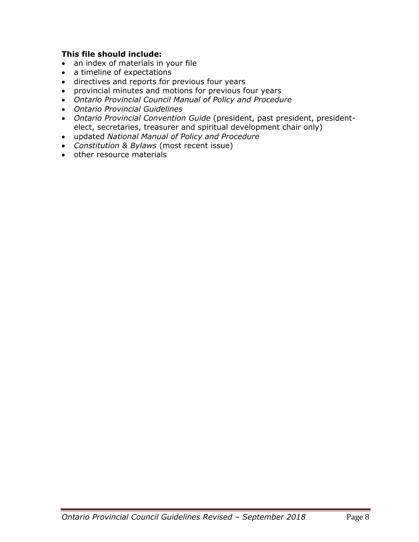#### **This file should include:**

- an index of materials in your file
- a timeline of expectations
- directives and reports for previous four years
- provincial minutes and motions for previous four years
- *Ontario Provincial Council Manual of Policy and Procedure*
- *Ontario Provincial Guidelines*
- *Ontario Provincial Convention Guide* (president, past president, presidentelect, secretaries, treasurer and spiritual development chair only)
- updated *National Manual of Policy and Procedure*
- *Constitution & Bylaws* (most recent issue)
- other resource materials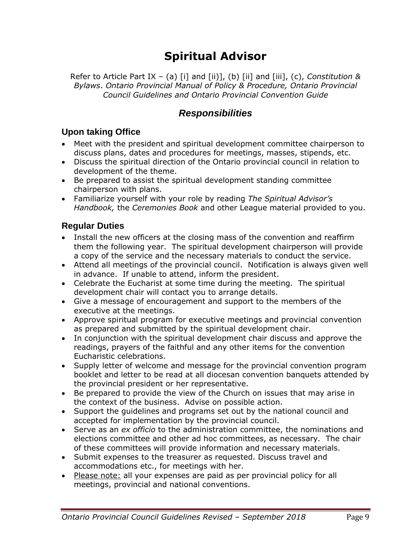# **Spiritual Advisor**

Refer to Article Part IX – (a) [i] and [ii)], (b) [ii] and [iii], (c), *Constitution & Bylaws*. *Ontario Provincial Manual of Policy & Procedure, Ontario Provincial Council Guidelines and Ontario Provincial Convention Guide*

## *Responsibilities*

#### **Upon taking Office**

- Meet with the president and spiritual development committee chairperson to discuss plans, dates and procedures for meetings, masses, stipends, etc.
- Discuss the spiritual direction of the Ontario provincial council in relation to development of the theme.
- Be prepared to assist the spiritual development standing committee chairperson with plans.
- Familiarize yourself with your role by reading *The Spiritual Advisor's Handbook,* the *Ceremonies Book* and other League material provided to you.

### **Regular Duties**

- Install the new officers at the closing mass of the convention and reaffirm them the following year. The spiritual development chairperson will provide a copy of the service and the necessary materials to conduct the service.
- Attend all meetings of the provincial council. Notification is always given well in advance. If unable to attend, inform the president.
- Celebrate the Eucharist at some time during the meeting. The spiritual development chair will contact you to arrange details.
- Give a message of encouragement and support to the members of the executive at the meetings.
- Approve spiritual program for executive meetings and provincial convention as prepared and submitted by the spiritual development chair.
- In conjunction with the spiritual development chair discuss and approve the readings, prayers of the faithful and any other items for the convention Eucharistic celebrations.
- Supply letter of welcome and message for the provincial convention program booklet and letter to be read at all diocesan convention banquets attended by the provincial president or her representative.
- Be prepared to provide the view of the Church on issues that may arise in the context of the business. Advise on possible action.
- Support the guidelines and programs set out by the national council and accepted for implementation by the provincial council.
- Serve as an *ex officio* to the administration committee, the nominations and elections committee and other ad hoc committees, as necessary. The chair of these committees will provide information and necessary materials.
- Submit expenses to the treasurer as requested. Discuss travel and accommodations etc., for meetings with her.
- Please note: all your expenses are paid as per provincial policy for all meetings, provincial and national conventions.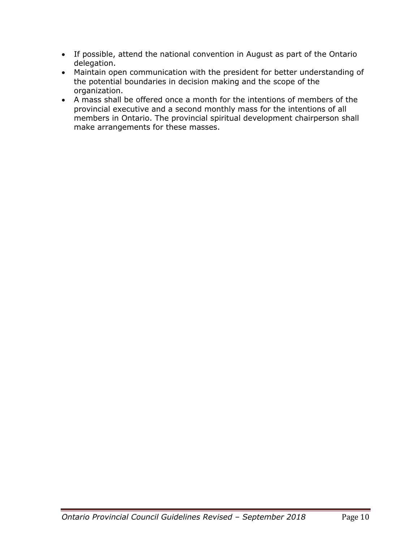- If possible, attend the national convention in August as part of the Ontario delegation.
- Maintain open communication with the president for better understanding of the potential boundaries in decision making and the scope of the organization.
- A mass shall be offered once a month for the intentions of members of the provincial executive and a second monthly mass for the intentions of all members in Ontario. The provincial spiritual development chairperson shall make arrangements for these masses.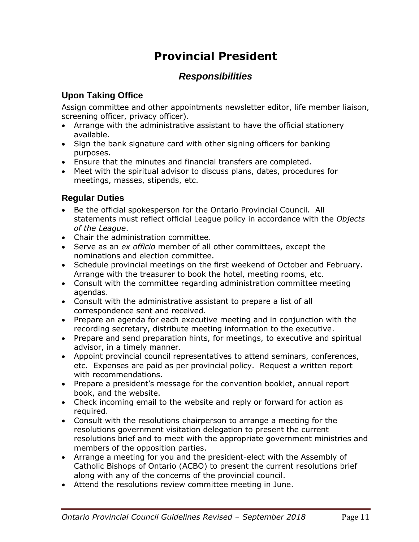# **Provincial President**

## *Responsibilities*

### **Upon Taking Office**

Assign committee and other appointments newsletter editor, life member liaison, screening officer, privacy officer).

- Arrange with the administrative assistant to have the official stationery available.
- Sign the bank signature card with other signing officers for banking purposes.
- Ensure that the minutes and financial transfers are completed.
- Meet with the spiritual advisor to discuss plans, dates, procedures for meetings, masses, stipends, etc.

### **Regular Duties**

- Be the official spokesperson for the Ontario Provincial Council. All statements must reflect official League policy in accordance with the *Objects of the League*.
- Chair the administration committee.
- Serve as an *ex officio* member of all other committees, except the nominations and election committee.
- Schedule provincial meetings on the first weekend of October and February. Arrange with the treasurer to book the hotel, meeting rooms, etc.
- Consult with the committee regarding administration committee meeting agendas.
- Consult with the administrative assistant to prepare a list of all correspondence sent and received.
- Prepare an agenda for each executive meeting and in conjunction with the recording secretary, distribute meeting information to the executive.
- Prepare and send preparation hints, for meetings, to executive and spiritual advisor, in a timely manner.
- Appoint provincial council representatives to attend seminars, conferences, etc. Expenses are paid as per provincial policy. Request a written report with recommendations.
- Prepare a president's message for the convention booklet, annual report book, and the website.
- Check incoming email to the website and reply or forward for action as required.
- Consult with the resolutions chairperson to arrange a meeting for the resolutions government visitation delegation to present the current resolutions brief and to meet with the appropriate government ministries and members of the opposition parties.
- Arrange a meeting for you and the president-elect with the Assembly of Catholic Bishops of Ontario (ACBO) to present the current resolutions brief along with any of the concerns of the provincial council.
- Attend the resolutions review committee meeting in June.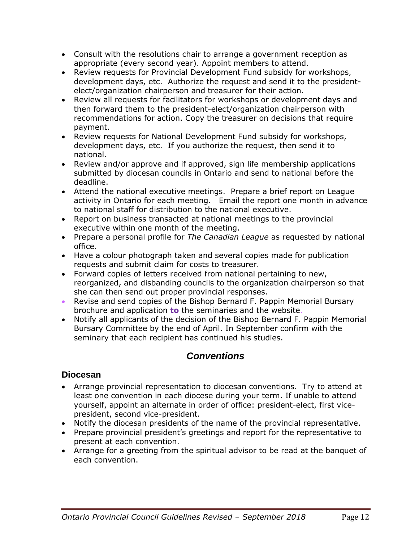- Consult with the resolutions chair to arrange a government reception as appropriate (every second year). Appoint members to attend.
- Review requests for Provincial Development Fund subsidy for workshops, development days, etc. Authorize the request and send it to the presidentelect/organization chairperson and treasurer for their action.
- Review all requests for facilitators for workshops or development days and then forward them to the president-elect/organization chairperson with recommendations for action. Copy the treasurer on decisions that require payment.
- Review requests for National Development Fund subsidy for workshops, development days, etc. If you authorize the request, then send it to national.
- Review and/or approve and if approved, sign life membership applications submitted by diocesan councils in Ontario and send to national before the deadline.
- Attend the national executive meetings. Prepare a brief report on League activity in Ontario for each meeting. Email the report one month in advance to national staff for distribution to the national executive.
- Report on business transacted at national meetings to the provincial executive within one month of the meeting.
- Prepare a personal profile for *The Canadian League* as requested by national office.
- Have a colour photograph taken and several copies made for publication requests and submit claim for costs to treasurer.
- Forward copies of letters received from national pertaining to new, reorganized, and disbanding councils to the organization chairperson so that she can then send out proper provincial responses.
- Revise and send copies of the Bishop Bernard F. Pappin Memorial Bursary brochure and application **to** the seminaries and the website.
- Notify all applicants of the decision of the Bishop Bernard F. Pappin Memorial Bursary Committee by the end of April. In September confirm with the seminary that each recipient has continued his studies.

## *Conventions*

#### **Diocesan**

- Arrange provincial representation to diocesan conventions. Try to attend at least one convention in each diocese during your term. If unable to attend yourself, appoint an alternate in order of office: president-elect, first vicepresident, second vice-president.
- Notify the diocesan presidents of the name of the provincial representative.
- Prepare provincial president's greetings and report for the representative to present at each convention.
- Arrange for a greeting from the spiritual advisor to be read at the banquet of each convention.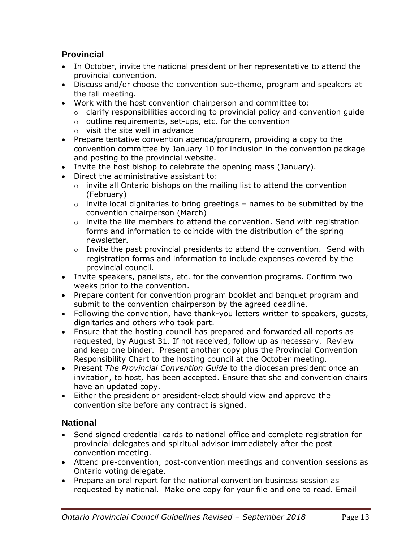### **Provincial**

- In October, invite the national president or her representative to attend the provincial convention.
- Discuss and/or choose the convention sub-theme, program and speakers at the fall meeting.
- Work with the host convention chairperson and committee to:
	- $\circ$  clarify responsibilities according to provincial policy and convention guide
	- o outline requirements, set-ups, etc. for the convention
	- o visit the site well in advance
- Prepare tentative convention agenda/program, providing a copy to the convention committee by January 10 for inclusion in the convention package and posting to the provincial website.
- Invite the host bishop to celebrate the opening mass (January).
- Direct the administrative assistant to:
	- o invite all Ontario bishops on the mailing list to attend the convention (February)
	- $\circ$  invite local dignitaries to bring greetings names to be submitted by the convention chairperson (March)
	- o invite the life members to attend the convention. Send with registration forms and information to coincide with the distribution of the spring newsletter.
	- $\circ$  Invite the past provincial presidents to attend the convention. Send with registration forms and information to include expenses covered by the provincial council.
- Invite speakers, panelists, etc. for the convention programs. Confirm two weeks prior to the convention.
- Prepare content for convention program booklet and banquet program and submit to the convention chairperson by the agreed deadline.
- Following the convention, have thank-you letters written to speakers, guests, dignitaries and others who took part.
- Ensure that the hosting council has prepared and forwarded all reports as requested, by August 31. If not received, follow up as necessary. Review and keep one binder. Present another copy plus the Provincial Convention Responsibility Chart to the hosting council at the October meeting.
- Present *The Provincial Convention Guide* to the diocesan president once an invitation, to host, has been accepted. Ensure that she and convention chairs have an updated copy.
- Either the president or president-elect should view and approve the convention site before any contract is signed.

#### **National**

- Send signed credential cards to national office and complete registration for provincial delegates and spiritual advisor immediately after the post convention meeting.
- Attend pre-convention, post-convention meetings and convention sessions as Ontario voting delegate.
- Prepare an oral report for the national convention business session as requested by national. Make one copy for your file and one to read. Email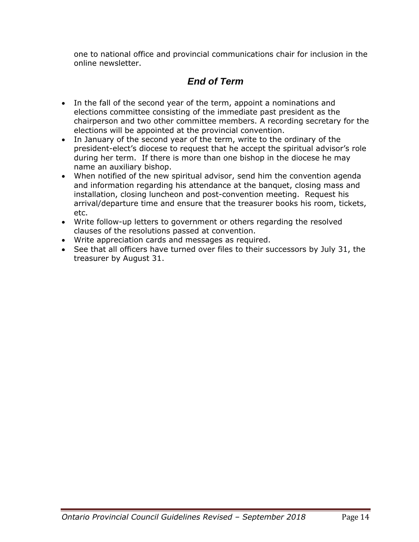one to national office and provincial communications chair for inclusion in the online newsletter.

## *End of Term*

- In the fall of the second year of the term, appoint a nominations and elections committee consisting of the immediate past president as the chairperson and two other committee members. A recording secretary for the elections will be appointed at the provincial convention.
- In January of the second year of the term, write to the ordinary of the president-elect's diocese to request that he accept the spiritual advisor's role during her term. If there is more than one bishop in the diocese he may name an auxiliary bishop.
- When notified of the new spiritual advisor, send him the convention agenda and information regarding his attendance at the banquet, closing mass and installation, closing luncheon and post-convention meeting. Request his arrival/departure time and ensure that the treasurer books his room, tickets, etc.
- Write follow-up letters to government or others regarding the resolved clauses of the resolutions passed at convention.
- Write appreciation cards and messages as required.
- See that all officers have turned over files to their successors by July 31, the treasurer by August 31.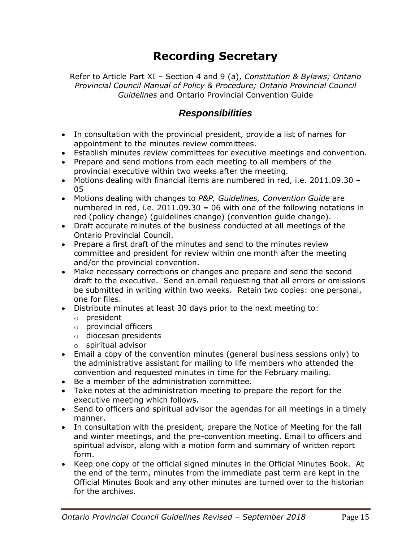# **Recording Secretary**

Refer to Article Part XI – Section 4 and 9 (a), *Constitution & Bylaws; Ontario Provincial Council Manual of Policy & Procedure; Ontario Provincial Council Guidelines* and Ontario Provincial Convention Guide

### *Responsibilities*

- In consultation with the provincial president, provide a list of names for appointment to the minutes review committees.
- Establish minutes review committees for executive meetings and convention.
- Prepare and send motions from each meeting to all members of the provincial executive within two weeks after the meeting.
- Motions dealing with financial items are numbered in red, i.e. 2011.09.30 05
- Motions dealing with changes to *P&P, Guidelines, Convention Guide* are numbered in red, i.e. 2011.09.30 **–** 06 with one of the following notations in red (policy change) (guidelines change) (convention guide change).
- Draft accurate minutes of the business conducted at all meetings of the Ontario Provincial Council.
- Prepare a first draft of the minutes and send to the minutes review committee and president for review within one month after the meeting and/or the provincial convention.
- Make necessary corrections or changes and prepare and send the second draft to the executive. Send an email requesting that all errors or omissions be submitted in writing within two weeks. Retain two copies: one personal, one for files.
- Distribute minutes at least 30 days prior to the next meeting to:
	- o president
	- o provincial officers
	- o diocesan presidents
	- o spiritual advisor
- Email a copy of the convention minutes (general business sessions only) to the administrative assistant for mailing to life members who attended the convention and requested minutes in time for the February mailing.
- Be a member of the administration committee.
- Take notes at the administration meeting to prepare the report for the executive meeting which follows.
- Send to officers and spiritual advisor the agendas for all meetings in a timely manner.
- In consultation with the president, prepare the Notice of Meeting for the fall and winter meetings, and the pre-convention meeting. Email to officers and spiritual advisor, along with a motion form and summary of written report form.
- Keep one copy of the official signed minutes in the Official Minutes Book. At the end of the term, minutes from the immediate past term are kept in the Official Minutes Book and any other minutes are turned over to the historian for the archives.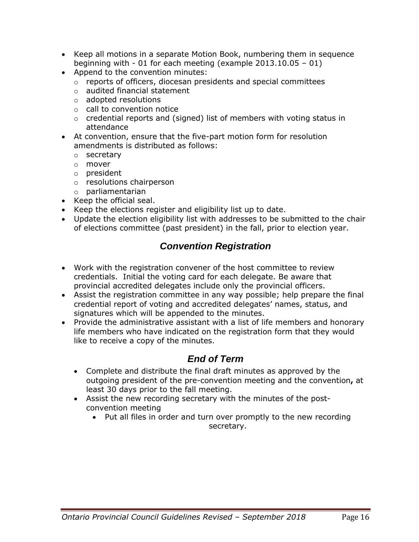- Keep all motions in a separate Motion Book, numbering them in sequence beginning with - 01 for each meeting (example 2013.10.05 – 01)
- Append to the convention minutes:
	- o reports of officers, diocesan presidents and special committees
	- o audited financial statement
	- o adopted resolutions
	- o call to convention notice
	- $\circ$  credential reports and (signed) list of members with voting status in attendance
- At convention, ensure that the five-part motion form for resolution amendments is distributed as follows:
	- o secretary
	- o mover
	- o president
	- o resolutions chairperson
	- o parliamentarian
- Keep the official seal.
- Keep the elections register and eligibility list up to date.
- Update the election eligibility list with addresses to be submitted to the chair of elections committee (past president) in the fall, prior to election year.

## *Convention Registration*

- Work with the registration convener of the host committee to review credentials. Initial the voting card for each delegate. Be aware that provincial accredited delegates include only the provincial officers.
- Assist the registration committee in any way possible; help prepare the final credential report of voting and accredited delegates' names, status, and signatures which will be appended to the minutes.
- Provide the administrative assistant with a list of life members and honorary life members who have indicated on the registration form that they would like to receive a copy of the minutes.

### *End of Term*

- Complete and distribute the final draft minutes as approved by the outgoing president of the pre-convention meeting and the convention**,** at least 30 days prior to the fall meeting.
- Assist the new recording secretary with the minutes of the postconvention meeting
	- Put all files in order and turn over promptly to the new recording secretary.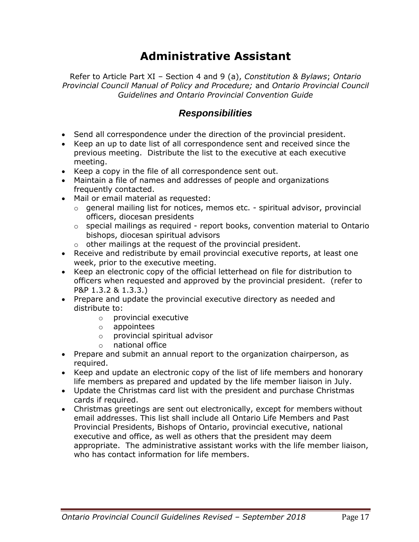# **Administrative Assistant**

Refer to Article Part XI – Section 4 and 9 (a), *Constitution & Bylaws*; *Ontario Provincial Council Manual of Policy and Procedure;* and *Ontario Provincial Council Guidelines and Ontario Provincial Convention Guide*

### *Responsibilities*

- Send all correspondence under the direction of the provincial president.
- Keep an up to date list of all correspondence sent and received since the previous meeting. Distribute the list to the executive at each executive meeting.
- Keep a copy in the file of all correspondence sent out.
- Maintain a file of names and addresses of people and organizations frequently contacted.
- Mail or email material as requested:
	- $\circ$  general mailing list for notices, memos etc. spiritual advisor, provincial officers, diocesan presidents
	- o special mailings as required report books, convention material to Ontario bishops, diocesan spiritual advisors
	- o other mailings at the request of the provincial president.
- Receive and redistribute by email provincial executive reports, at least one week, prior to the executive meeting.
- Keep an electronic copy of the official letterhead on file for distribution to officers when requested and approved by the provincial president. (refer to P&P 1.3.2 & 1.3.3.)
- Prepare and update the provincial executive directory as needed and distribute to:
	- o provincial executive
	- o appointees
	- o provincial spiritual advisor
	- o national office
- Prepare and submit an annual report to the organization chairperson, as required.
- Keep and update an electronic copy of the list of life members and honorary life members as prepared and updated by the life member liaison in July.
- Update the Christmas card list with the president and purchase Christmas cards if required.
- Christmas greetings are sent out electronically, except for members without email addresses. This list shall include all Ontario Life Members and Past Provincial Presidents, Bishops of Ontario, provincial executive, national executive and office, as well as others that the president may deem appropriate. The administrative assistant works with the life member liaison, who has contact information for life members.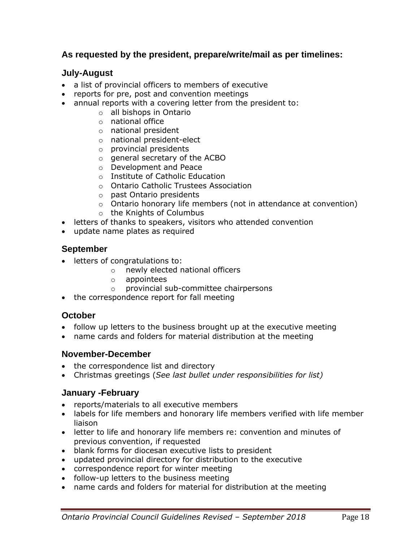#### **As requested by the president, prepare/write/mail as per timelines:**

#### **July-August**

- a list of provincial officers to members of executive
- reports for pre, post and convention meetings
- annual reports with a covering letter from the president to:
	- o all bishops in Ontario
	- o national office
	- o national president
	- o national president-elect
	- o provincial presidents
	- o general secretary of the ACBO
	- o Development and Peace
	- o Institute of Catholic Education
	- o Ontario Catholic Trustees Association
	- o past Ontario presidents
	- o Ontario honorary life members (not in attendance at convention)
	- o the Knights of Columbus
- letters of thanks to speakers, visitors who attended convention
- update name plates as required

#### **September**

- letters of congratulations to:
	- o newly elected national officers
	- o appointees
	- o provincial sub-committee chairpersons
- the correspondence report for fall meeting

#### **October**

- follow up letters to the business brought up at the executive meeting
- name cards and folders for material distribution at the meeting

#### **November-December**

- the correspondence list and directory
- Christmas greetings (*See last bullet under responsibilities for list)*

#### **January -February**

- reports/materials to all executive members
- labels for life members and honorary life members verified with life member liaison
- letter to life and honorary life members re: convention and minutes of previous convention, if requested
- blank forms for diocesan executive lists to president
- updated provincial directory for distribution to the executive
- correspondence report for winter meeting
- follow-up letters to the business meeting
- name cards and folders for material for distribution at the meeting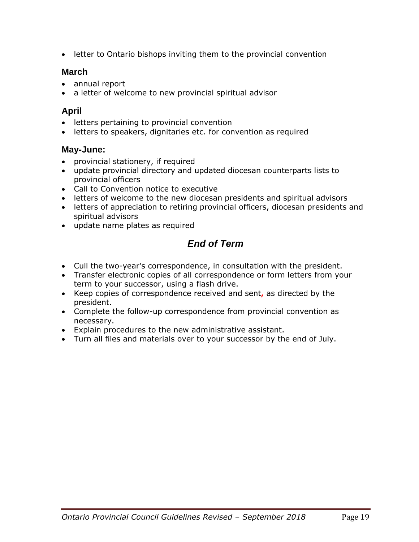• letter to Ontario bishops inviting them to the provincial convention

#### **March**

- annual report
- a letter of welcome to new provincial spiritual advisor

#### **April**

- letters pertaining to provincial convention
- letters to speakers, dignitaries etc. for convention as required

#### **May-June:**

- provincial stationery, if required
- update provincial directory and updated diocesan counterparts lists to provincial officers
- Call to Convention notice to executive
- letters of welcome to the new diocesan presidents and spiritual advisors
- letters of appreciation to retiring provincial officers, diocesan presidents and spiritual advisors
- update name plates as required

## *End of Term*

- Cull the two-year's correspondence, in consultation with the president.
- Transfer electronic copies of all correspondence or form letters from your term to your successor, using a flash drive.
- Keep copies of correspondence received and sent**,** as directed by the president.
- Complete the follow-up correspondence from provincial convention as necessary.
- Explain procedures to the new administrative assistant.
- Turn all files and materials over to your successor by the end of July.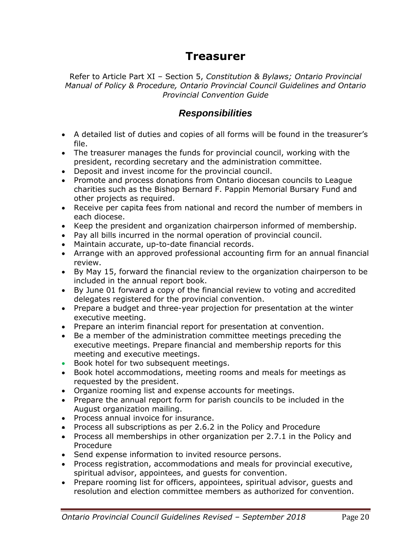## **Treasurer**

Refer to Article Part XI – Section 5, *Constitution & Bylaws; Ontario Provincial Manual of Policy & Procedure, Ontario Provincial Council Guidelines and Ontario Provincial Convention Guide*

### *Responsibilities*

- A detailed list of duties and copies of all forms will be found in the treasurer's file.
- The treasurer manages the funds for provincial council, working with the president, recording secretary and the administration committee.
- Deposit and invest income for the provincial council.
- Promote and process donations from Ontario diocesan councils to League charities such as the Bishop Bernard F. Pappin Memorial Bursary Fund and other projects as required.
- Receive per capita fees from national and record the number of members in each diocese.
- Keep the president and organization chairperson informed of membership.
- Pay all bills incurred in the normal operation of provincial council.
- Maintain accurate, up-to-date financial records.
- Arrange with an approved professional accounting firm for an annual financial review.
- By May 15, forward the financial review to the organization chairperson to be included in the annual report book.
- By June 01 forward a copy of the financial review to voting and accredited delegates registered for the provincial convention.
- Prepare a budget and three-year projection for presentation at the winter executive meeting.
- Prepare an interim financial report for presentation at convention.
- Be a member of the administration committee meetings preceding the executive meetings. Prepare financial and membership reports for this meeting and executive meetings.
- Book hotel for two subsequent meetings.
- Book hotel accommodations, meeting rooms and meals for meetings as requested by the president.
- Organize rooming list and expense accounts for meetings.
- Prepare the annual report form for parish councils to be included in the August organization mailing.
- Process annual invoice for insurance.
- Process all subscriptions as per 2.6.2 in the Policy and Procedure
- Process all memberships in other organization per 2.7.1 in the Policy and Procedure
- Send expense information to invited resource persons.
- Process registration, accommodations and meals for provincial executive, spiritual advisor, appointees, and guests for convention.
- Prepare rooming list for officers, appointees, spiritual advisor, guests and resolution and election committee members as authorized for convention.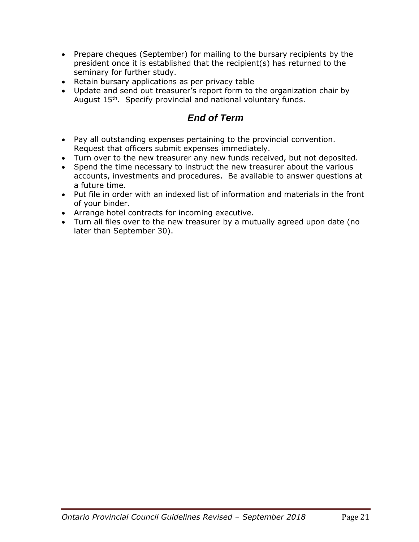- Prepare cheques (September) for mailing to the bursary recipients by the president once it is established that the recipient(s) has returned to the seminary for further study.
- Retain bursary applications as per privacy table
- Update and send out treasurer's report form to the organization chair by August 15<sup>th</sup>. Specify provincial and national voluntary funds.

## *End of Term*

- Pay all outstanding expenses pertaining to the provincial convention. Request that officers submit expenses immediately.
- Turn over to the new treasurer any new funds received, but not deposited.
- Spend the time necessary to instruct the new treasurer about the various accounts, investments and procedures. Be available to answer questions at a future time.
- Put file in order with an indexed list of information and materials in the front of your binder.
- Arrange hotel contracts for incoming executive.
- Turn all files over to the new treasurer by a mutually agreed upon date (no later than September 30).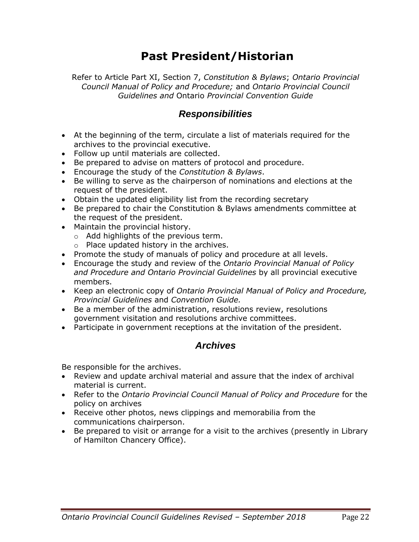## **Past President/Historian**

Refer to Article Part XI, Section 7, *Constitution & Bylaws*; *Ontario Provincial Council Manual of Policy and Procedure;* and *Ontario Provincial Council Guidelines and* Ontario *Provincial Convention Guide*

### *Responsibilities*

- At the beginning of the term, circulate a list of materials required for the archives to the provincial executive.
- Follow up until materials are collected.
- Be prepared to advise on matters of protocol and procedure.
- Encourage the study of the *Constitution & Bylaws*.
- Be willing to serve as the chairperson of nominations and elections at the request of the president.
- Obtain the updated eligibility list from the recording secretary
- Be prepared to chair the Constitution & Bylaws amendments committee at the request of the president.
- Maintain the provincial history.
	- o Add highlights of the previous term.
	- o Place updated history in the archives.
- Promote the study of manuals of policy and procedure at all levels.
- Encourage the study and review of the *Ontario Provincial Manual of Policy and Procedure and Ontario Provincial Guidelines* by all provincial executive members.
- Keep an electronic copy of *Ontario Provincial Manual of Policy and Procedure, Provincial Guidelines* and *Convention Guide.*
- Be a member of the administration, resolutions review, resolutions government visitation and resolutions archive committees.
- Participate in government receptions at the invitation of the president.

### *Archives*

Be responsible for the archives.

- Review and update archival material and assure that the index of archival material is current.
- Refer to the *Ontario Provincial Council Manual of Policy and Procedure* for the policy on archives
- Receive other photos, news clippings and memorabilia from the communications chairperson.
- Be prepared to visit or arrange for a visit to the archives (presently in Library of Hamilton Chancery Office).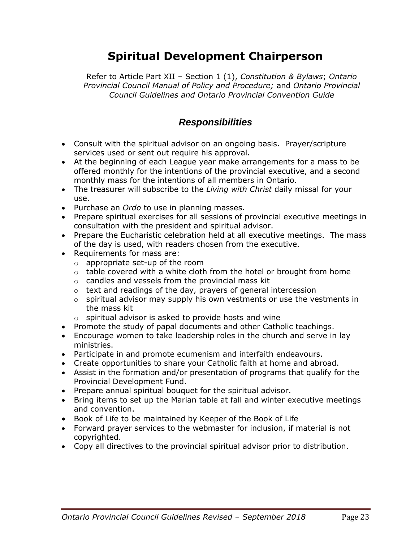# **Spiritual Development Chairperson**

Refer to Article Part XII – Section 1 (1), *Constitution & Bylaws*; *Ontario Provincial Council Manual of Policy and Procedure;* and *Ontario Provincial Council Guidelines and Ontario Provincial Convention Guide*

### *Responsibilities*

- Consult with the spiritual advisor on an ongoing basis. Prayer/scripture services used or sent out require his approval.
- At the beginning of each League year make arrangements for a mass to be offered monthly for the intentions of the provincial executive, and a second monthly mass for the intentions of all members in Ontario.
- The treasurer will subscribe to the *Living with Christ* daily missal for your use.
- Purchase an *Ordo* to use in planning masses.
- Prepare spiritual exercises for all sessions of provincial executive meetings in consultation with the president and spiritual advisor.
- Prepare the Eucharistic celebration held at all executive meetings. The mass of the day is used, with readers chosen from the executive.
- Requirements for mass are:
	- o appropriate set-up of the room
	- $\circ$  table covered with a white cloth from the hotel or brought from home
	- o candles and vessels from the provincial mass kit
	- o text and readings of the day, prayers of general intercession
	- $\circ$  spiritual advisor may supply his own vestments or use the vestments in the mass kit
	- $\circ$  spiritual advisor is asked to provide hosts and wine
- Promote the study of papal documents and other Catholic teachings.
- Encourage women to take leadership roles in the church and serve in lay ministries.
- Participate in and promote ecumenism and interfaith endeavours.
- Create opportunities to share your Catholic faith at home and abroad.
- Assist in the formation and/or presentation of programs that qualify for the Provincial Development Fund.
- Prepare annual spiritual bouquet for the spiritual advisor.
- Bring items to set up the Marian table at fall and winter executive meetings and convention.
- Book of Life to be maintained by Keeper of the Book of Life
- Forward prayer services to the webmaster for inclusion, if material is not copyrighted.
- Copy all directives to the provincial spiritual advisor prior to distribution.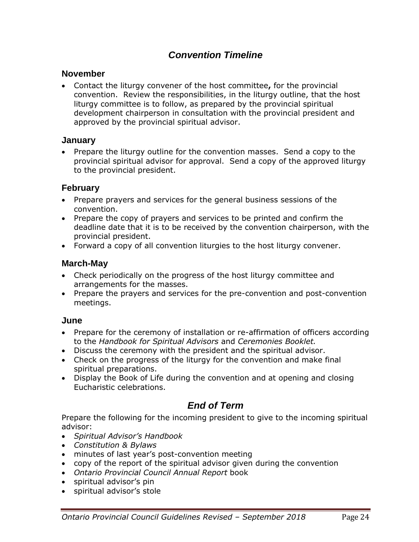## *Convention Timeline*

#### **November**

• Contact the liturgy convener of the host committee**,** for the provincial convention. Review the responsibilities, in the liturgy outline, that the host liturgy committee is to follow, as prepared by the provincial spiritual development chairperson in consultation with the provincial president and approved by the provincial spiritual advisor.

#### **January**

• Prepare the liturgy outline for the convention masses. Send a copy to the provincial spiritual advisor for approval. Send a copy of the approved liturgy to the provincial president.

#### **February**

- Prepare prayers and services for the general business sessions of the convention.
- Prepare the copy of prayers and services to be printed and confirm the deadline date that it is to be received by the convention chairperson, with the provincial president.
- Forward a copy of all convention liturgies to the host liturgy convener.

#### **March-May**

- Check periodically on the progress of the host liturgy committee and arrangements for the masses.
- Prepare the prayers and services for the pre-convention and post-convention meetings.

#### **June**

- Prepare for the ceremony of installation or re-affirmation of officers according to the *Handbook for Spiritual Advisors* and *Ceremonies Booklet.*
- Discuss the ceremony with the president and the spiritual advisor.
- Check on the progress of the liturgy for the convention and make final spiritual preparations.
- Display the Book of Life during the convention and at opening and closing Eucharistic celebrations.

### *End of Term*

Prepare the following for the incoming president to give to the incoming spiritual advisor:

- *Spiritual Advisor's Handbook*
- *Constitution & Bylaws*
- minutes of last year's post-convention meeting
- copy of the report of the spiritual advisor given during the convention
- *Ontario Provincial Council Annual Report* book
- spiritual advisor's pin
- spiritual advisor's stole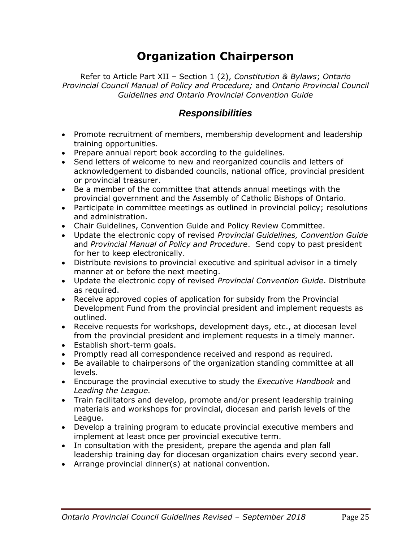# **Organization Chairperson**

Refer to Article Part XII – Section 1 (2), *Constitution & Bylaws*; *Ontario Provincial Council Manual of Policy and Procedure;* and *Ontario Provincial Council Guidelines and Ontario Provincial Convention Guide*

### *Responsibilities*

- Promote recruitment of members, membership development and leadership training opportunities.
- Prepare annual report book according to the guidelines.
- Send letters of welcome to new and reorganized councils and letters of acknowledgement to disbanded councils, national office, provincial president or provincial treasurer.
- Be a member of the committee that attends annual meetings with the provincial government and the Assembly of Catholic Bishops of Ontario.
- Participate in committee meetings as outlined in provincial policy; resolutions and administration.
- Chair Guidelines, Convention Guide and Policy Review Committee.
- Update the electronic copy of revised *Provincial Guidelines, Convention Guide* and *Provincial Manual of Policy and Procedure*. Send copy to past president for her to keep electronically.
- Distribute revisions to provincial executive and spiritual advisor in a timely manner at or before the next meeting.
- Update the electronic copy of revised *Provincial Convention Guide*. Distribute as required.
- Receive approved copies of application for subsidy from the Provincial Development Fund from the provincial president and implement requests as outlined.
- Receive requests for workshops, development days, etc., at diocesan level from the provincial president and implement requests in a timely manner.
- Establish short-term goals.
- Promptly read all correspondence received and respond as required.
- Be available to chairpersons of the organization standing committee at all levels.
- Encourage the provincial executive to study the *Executive Handbook* and *Leading the League.*
- Train facilitators and develop, promote and/or present leadership training materials and workshops for provincial, diocesan and parish levels of the League.
- Develop a training program to educate provincial executive members and implement at least once per provincial executive term.
- In consultation with the president, prepare the agenda and plan fall leadership training day for diocesan organization chairs every second year.
- Arrange provincial dinner(s) at national convention.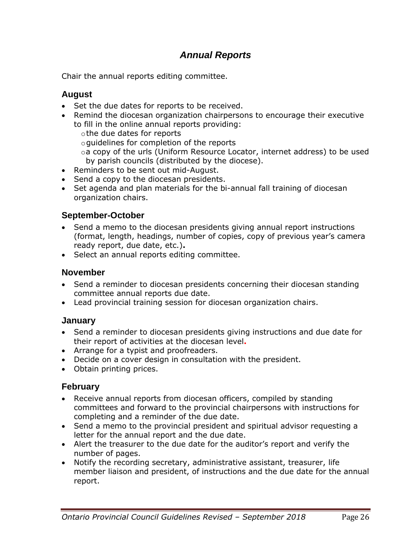## *Annual Reports*

Chair the annual reports editing committee.

#### **August**

- Set the due dates for reports to be received.
- Remind the diocesan organization chairpersons to encourage their executive to fill in the online annual reports providing:
	- othe due dates for reports
	- oguidelines for completion of the reports
	- oa copy of the urls (Uniform Resource Locator, internet address) to be used by parish councils (distributed by the diocese).
- Reminders to be sent out mid-August.
- Send a copy to the diocesan presidents.
- Set agenda and plan materials for the bi-annual fall training of diocesan organization chairs.

#### **September-October**

- Send a memo to the diocesan presidents giving annual report instructions (format, length, headings, number of copies, copy of previous year's camera ready report, due date, etc.)**.**
- Select an annual reports editing committee.

#### **November**

- Send a reminder to diocesan presidents concerning their diocesan standing committee annual reports due date.
- Lead provincial training session for diocesan organization chairs.

#### **January**

- Send a reminder to diocesan presidents giving instructions and due date for their report of activities at the diocesan level**.**
- Arrange for a typist and proofreaders.
- Decide on a cover design in consultation with the president.
- Obtain printing prices.

#### **February**

- Receive annual reports from diocesan officers, compiled by standing committees and forward to the provincial chairpersons with instructions for completing and a reminder of the due date.
- Send a memo to the provincial president and spiritual advisor requesting a letter for the annual report and the due date.
- Alert the treasurer to the due date for the auditor's report and verify the number of pages.
- Notify the recording secretary, administrative assistant, treasurer, life member liaison and president, of instructions and the due date for the annual report.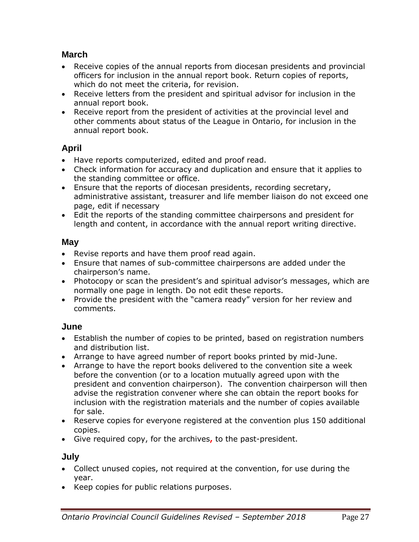#### **March**

- Receive copies of the annual reports from diocesan presidents and provincial officers for inclusion in the annual report book. Return copies of reports, which do not meet the criteria, for revision.
- Receive letters from the president and spiritual advisor for inclusion in the annual report book.
- Receive report from the president of activities at the provincial level and other comments about status of the League in Ontario, for inclusion in the annual report book.

#### **April**

- Have reports computerized, edited and proof read.
- Check information for accuracy and duplication and ensure that it applies to the standing committee or office.
- Ensure that the reports of diocesan presidents, recording secretary, administrative assistant, treasurer and life member liaison do not exceed one page, edit if necessary
- Edit the reports of the standing committee chairpersons and president for length and content, in accordance with the annual report writing directive.

#### **May**

- Revise reports and have them proof read again.
- Ensure that names of sub-committee chairpersons are added under the chairperson's name.
- Photocopy or scan the president's and spiritual advisor's messages, which are normally one page in length. Do not edit these reports.
- Provide the president with the "camera ready" version for her review and comments.

#### **June**

- Establish the number of copies to be printed, based on registration numbers and distribution list.
- Arrange to have agreed number of report books printed by mid-June.
- Arrange to have the report books delivered to the convention site a week before the convention (or to a location mutually agreed upon with the president and convention chairperson). The convention chairperson will then advise the registration convener where she can obtain the report books for inclusion with the registration materials and the number of copies available for sale.
- Reserve copies for everyone registered at the convention plus 150 additional copies.
- Give required copy, for the archives**,** to the past-president.

#### **July**

- Collect unused copies, not required at the convention, for use during the year.
- Keep copies for public relations purposes.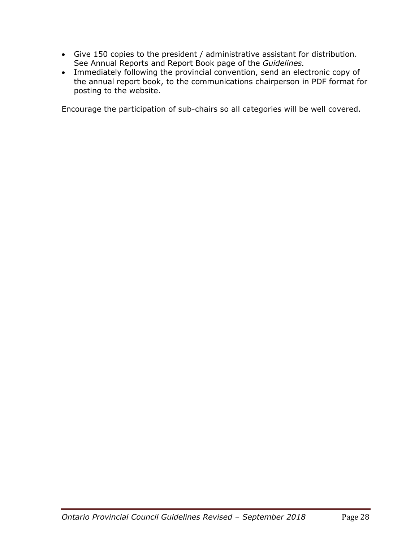- Give 150 copies to the president / administrative assistant for distribution. See Annual Reports and Report Book page of the *Guidelines.*
- Immediately following the provincial convention, send an electronic copy of the annual report book, to the communications chairperson in PDF format for posting to the website.

Encourage the participation of sub-chairs so all categories will be well covered.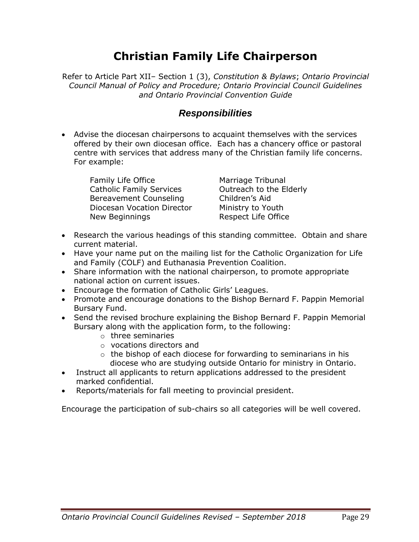# **Christian Family Life Chairperson**

Refer to Article Part XII– Section 1 (3), *Constitution & Bylaws*; *Ontario Provincial Council Manual of Policy and Procedure; Ontario Provincial Council Guidelines and Ontario Provincial Convention Guide*

#### *Responsibilities*

• Advise the diocesan chairpersons to acquaint themselves with the services offered by their own diocesan office. Each has a chancery office or pastoral centre with services that address many of the Christian family life concerns. For example:

Family Life Office Catholic Family Services Bereavement Counseling Diocesan Vocation Director New Beginnings

Marriage Tribunal Outreach to the Elderly Children's Aid Ministry to Youth Respect Life Office

- Research the various headings of this standing committee. Obtain and share current material.
- Have your name put on the mailing list for the Catholic Organization for Life and Family (COLF) and Euthanasia Prevention Coalition.
- Share information with the national chairperson, to promote appropriate national action on current issues.
- Encourage the formation of Catholic Girls' Leagues.
- Promote and encourage donations to the Bishop Bernard F. Pappin Memorial Bursary Fund.
- Send the revised brochure explaining the Bishop Bernard F. Pappin Memorial Bursary along with the application form, to the following:
	- o three seminaries
	- o vocations directors and
	- o the bishop of each diocese for forwarding to seminarians in his diocese who are studying outside Ontario for ministry in Ontario.
- Instruct all applicants to return applications addressed to the president marked confidential.
- Reports/materials for fall meeting to provincial president.

Encourage the participation of sub-chairs so all categories will be well covered.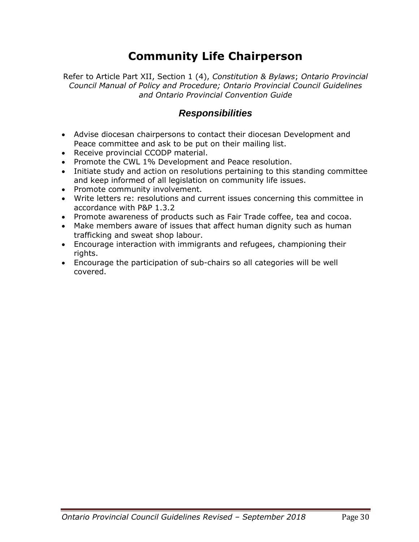# **Community Life Chairperson**

Refer to Article Part XII, Section 1 (4), *Constitution & Bylaws*; *Ontario Provincial Council Manual of Policy and Procedure; Ontario Provincial Council Guidelines and Ontario Provincial Convention Guide*

### *Responsibilities*

- Advise diocesan chairpersons to contact their diocesan Development and Peace committee and ask to be put on their mailing list.
- Receive provincial CCODP material.
- Promote the CWL 1% Development and Peace resolution.
- Initiate study and action on resolutions pertaining to this standing committee and keep informed of all legislation on community life issues.
- Promote community involvement.
- Write letters re: resolutions and current issues concerning this committee in accordance with P&P 1.3.2
- Promote awareness of products such as Fair Trade coffee, tea and cocoa.
- Make members aware of issues that affect human dignity such as human trafficking and sweat shop labour.
- Encourage interaction with immigrants and refugees, championing their rights.
- Encourage the participation of sub-chairs so all categories will be well covered.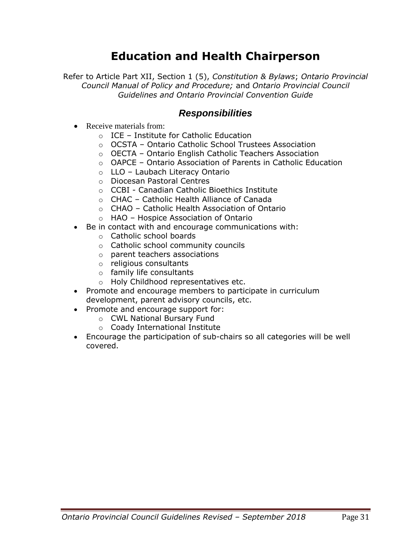## **Education and Health Chairperson**

Refer to Article Part XII, Section 1 (5), *Constitution & Bylaws*; *Ontario Provincial Council Manual of Policy and Procedure;* and *Ontario Provincial Council Guidelines and Ontario Provincial Convention Guide*

#### *Responsibilities*

- Receive materials from:
	- o ICE Institute for Catholic Education
	- o OCSTA Ontario Catholic School Trustees Association
	- o OECTA Ontario English Catholic Teachers Association
	- $\circ$  OAPCE Ontario Association of Parents in Catholic Education
	- o LLO Laubach Literacy Ontario
	- o Diocesan Pastoral Centres
	- o CCBI Canadian Catholic Bioethics Institute
	- o CHAC Catholic Health Alliance of Canada
	- o CHAO Catholic Health Association of Ontario
	- o HAO Hospice Association of Ontario
- Be in contact with and encourage communications with:
	- o Catholic school boards
	- o Catholic school community councils
	- o parent teachers associations
	- o religious consultants
	- o family life consultants
	- o Holy Childhood representatives etc.
- Promote and encourage members to participate in curriculum development, parent advisory councils, etc.
- Promote and encourage support for:
	- o CWL National Bursary Fund
	- o Coady International Institute
- Encourage the participation of sub-chairs so all categories will be well covered.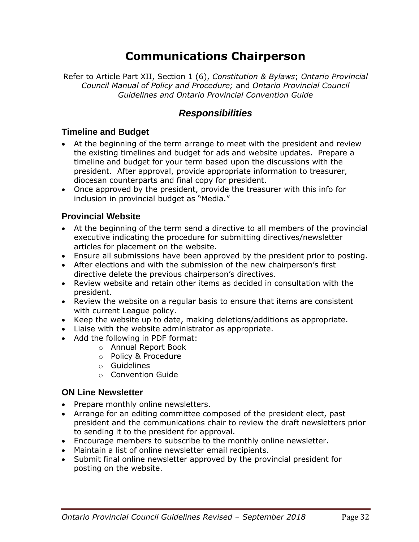# **Communications Chairperson**

Refer to Article Part XII, Section 1 (6), *Constitution & Bylaws*; *Ontario Provincial Council Manual of Policy and Procedure;* and *Ontario Provincial Council Guidelines and Ontario Provincial Convention Guide*

### *Responsibilities*

#### **Timeline and Budget**

- At the beginning of the term arrange to meet with the president and review the existing timelines and budget for ads and website updates. Prepare a timeline and budget for your term based upon the discussions with the president. After approval, provide appropriate information to treasurer, diocesan counterparts and final copy for president.
- Once approved by the president, provide the treasurer with this info for inclusion in provincial budget as "Media."

#### **Provincial Website**

- At the beginning of the term send a directive to all members of the provincial executive indicating the procedure for submitting directives/newsletter articles for placement on the website.
- Ensure all submissions have been approved by the president prior to posting.
- After elections and with the submission of the new chairperson's first directive delete the previous chairperson's directives.
- Review website and retain other items as decided in consultation with the president.
- Review the website on a regular basis to ensure that items are consistent with current League policy.
- Keep the website up to date, making deletions/additions as appropriate.
- Liaise with the website administrator as appropriate.
- Add the following in PDF format:
	- o Annual Report Book
	- o Policy & Procedure
	- o Guidelines
	- o Convention Guide

#### **ON Line Newsletter**

- Prepare monthly online newsletters.
- Arrange for an editing committee composed of the president elect, past president and the communications chair to review the draft newsletters prior to sending it to the president for approval.
- Encourage members to subscribe to the monthly online newsletter.
- Maintain a list of online newsletter email recipients.
- Submit final online newsletter approved by the provincial president for posting on the website.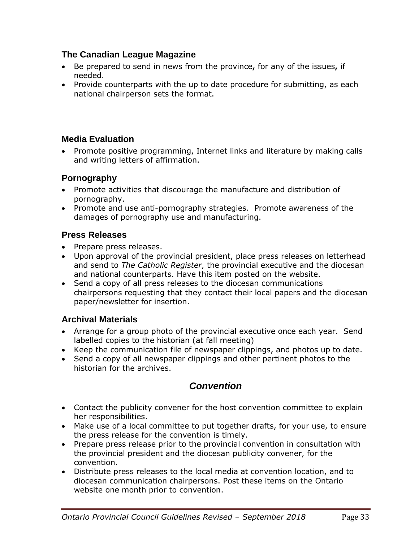#### **The Canadian League Magazine**

- Be prepared to send in news from the province**,** for any of the issues**,** if needed.
- Provide counterparts with the up to date procedure for submitting, as each national chairperson sets the format.

#### **Media Evaluation**

• Promote positive programming, Internet links and literature by making calls and writing letters of affirmation.

#### **Pornography**

- Promote activities that discourage the manufacture and distribution of pornography.
- Promote and use anti-pornography strategies. Promote awareness of the damages of pornography use and manufacturing.

#### **Press Releases**

- Prepare press releases.
- Upon approval of the provincial president, place press releases on letterhead and send to *The Catholic Register*, the provincial executive and the diocesan and national counterparts. Have this item posted on the website.
- Send a copy of all press releases to the diocesan communications chairpersons requesting that they contact their local papers and the diocesan paper/newsletter for insertion.

#### **Archival Materials**

- Arrange for a group photo of the provincial executive once each year. Send labelled copies to the historian (at fall meeting)
- Keep the communication file of newspaper clippings, and photos up to date.
- Send a copy of all newspaper clippings and other pertinent photos to the historian for the archives.

### *Convention*

- Contact the publicity convener for the host convention committee to explain her responsibilities.
- Make use of a local committee to put together drafts, for your use, to ensure the press release for the convention is timely.
- Prepare press release prior to the provincial convention in consultation with the provincial president and the diocesan publicity convener, for the convention.
- Distribute press releases to the local media at convention location, and to diocesan communication chairpersons. Post these items on the Ontario website one month prior to convention.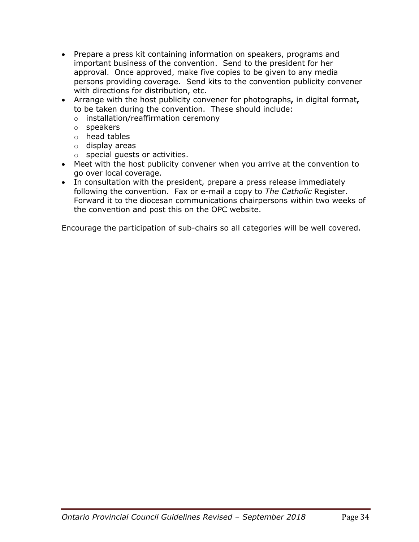- Prepare a press kit containing information on speakers, programs and important business of the convention. Send to the president for her approval. Once approved, make five copies to be given to any media persons providing coverage. Send kits to the convention publicity convener with directions for distribution, etc.
- Arrange with the host publicity convener for photographs**,** in digital format**,** to be taken during the convention. These should include:
	- o installation/reaffirmation ceremony
	- o speakers
	- o head tables
	- o display areas
	- o special guests or activities.
- Meet with the host publicity convener when you arrive at the convention to go over local coverage.
- In consultation with the president, prepare a press release immediately following the convention. Fax or e-mail a copy to *The Catholic* Register. Forward it to the diocesan communications chairpersons within two weeks of the convention and post this on the OPC website.

Encourage the participation of sub-chairs so all categories will be well covered.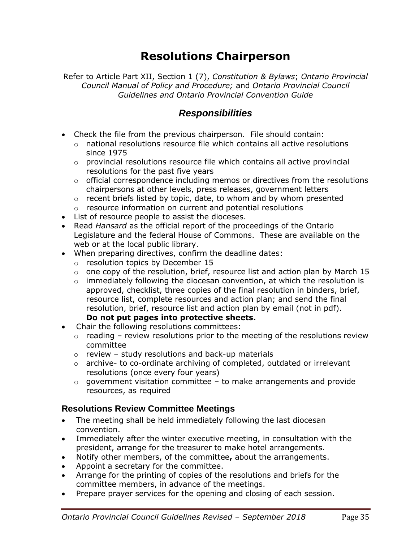## **Resolutions Chairperson**

Refer to Article Part XII, Section 1 (7), *Constitution & Bylaws*; *Ontario Provincial Council Manual of Policy and Procedure;* and *Ontario Provincial Council Guidelines and Ontario Provincial Convention Guide*

### *Responsibilities*

- Check the file from the previous chairperson. File should contain:
	- $\circ$  national resolutions resource file which contains all active resolutions since 1975
	- $\circ$  provincial resolutions resource file which contains all active provincial resolutions for the past five years
	- $\circ$  official correspondence including memos or directives from the resolutions chairpersons at other levels, press releases, government letters
	- $\circ$  recent briefs listed by topic, date, to whom and by whom presented
	- o resource information on current and potential resolutions
- List of resource people to assist the dioceses.
- Read *Hansard* as the official report of the proceedings of the Ontario Legislature and the federal House of Commons. These are available on the web or at the local public library.
- When preparing directives, confirm the deadline dates:
	- o resolution topics by December 15
	- $\circ$  one copy of the resolution, brief, resource list and action plan by March 15
	- $\circ$  immediately following the diocesan convention, at which the resolution is approved, checklist, three copies of the final resolution in binders, brief, resource list, complete resources and action plan; and send the final resolution, brief, resource list and action plan by email (not in pdf). **Do not put pages into protective sheets.**
- Chair the following resolutions committees:
	- $\circ$  reading review resolutions prior to the meeting of the resolutions review committee
	- $\circ$  review study resolutions and back-up materials
	- $\circ$  archive- to co-ordinate archiving of completed, outdated or irrelevant resolutions (once every four years)
	- $\circ$  government visitation committee to make arrangements and provide resources, as required

#### **Resolutions Review Committee Meetings**

- The meeting shall be held immediately following the last diocesan convention.
- Immediately after the winter executive meeting, in consultation with the president, arrange for the treasurer to make hotel arrangements.
- Notify other members, of the committee**,** about the arrangements.
- Appoint a secretary for the committee.
- Arrange for the printing of copies of the resolutions and briefs for the committee members, in advance of the meetings.
- Prepare prayer services for the opening and closing of each session.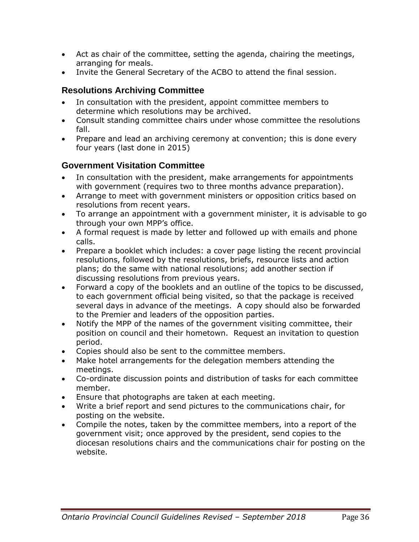- Act as chair of the committee, setting the agenda, chairing the meetings, arranging for meals.
- Invite the General Secretary of the ACBO to attend the final session.

## **Resolutions Archiving Committee**

- In consultation with the president, appoint committee members to determine which resolutions may be archived.
- Consult standing committee chairs under whose committee the resolutions fall.
- Prepare and lead an archiving ceremony at convention; this is done every four years (last done in 2015)

### **Government Visitation Committee**

- In consultation with the president, make arrangements for appointments with government (requires two to three months advance preparation).
- Arrange to meet with government ministers or opposition critics based on resolutions from recent years.
- To arrange an appointment with a government minister, it is advisable to go through your own MPP's office.
- A formal request is made by letter and followed up with emails and phone calls.
- Prepare a booklet which includes: a cover page listing the recent provincial resolutions, followed by the resolutions, briefs, resource lists and action plans; do the same with national resolutions; add another section if discussing resolutions from previous years.
- Forward a copy of the booklets and an outline of the topics to be discussed, to each government official being visited, so that the package is received several days in advance of the meetings. A copy should also be forwarded to the Premier and leaders of the opposition parties.
- Notify the MPP of the names of the government visiting committee, their position on council and their hometown. Request an invitation to question period.
- Copies should also be sent to the committee members.
- Make hotel arrangements for the delegation members attending the meetings.
- Co-ordinate discussion points and distribution of tasks for each committee member.
- Ensure that photographs are taken at each meeting.
- Write a brief report and send pictures to the communications chair, for posting on the website.
- Compile the notes, taken by the committee members, into a report of the government visit; once approved by the president, send copies to the diocesan resolutions chairs and the communications chair for posting on the website.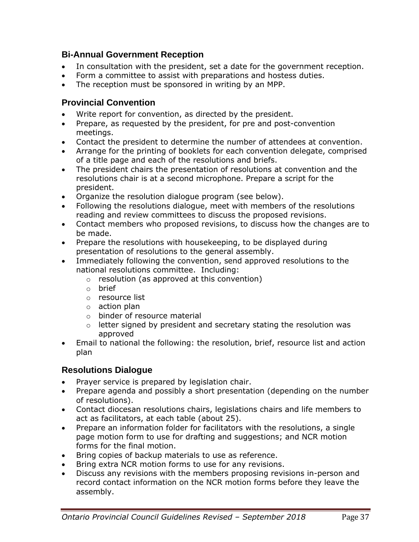#### **Bi-Annual Government Reception**

- In consultation with the president, set a date for the government reception.
- Form a committee to assist with preparations and hostess duties.
- The reception must be sponsored in writing by an MPP.

#### **Provincial Convention**

- Write report for convention, as directed by the president.
- Prepare, as requested by the president, for pre and post-convention meetings.
- Contact the president to determine the number of attendees at convention.
- Arrange for the printing of booklets for each convention delegate, comprised of a title page and each of the resolutions and briefs.
- The president chairs the presentation of resolutions at convention and the resolutions chair is at a second microphone. Prepare a script for the president.
- Organize the resolution dialogue program (see below).
- Following the resolutions dialogue, meet with members of the resolutions reading and review committees to discuss the proposed revisions.
- Contact members who proposed revisions, to discuss how the changes are to be made.
- Prepare the resolutions with housekeeping, to be displayed during presentation of resolutions to the general assembly.
- Immediately following the convention, send approved resolutions to the national resolutions committee. Including:
	- o resolution (as approved at this convention)
	- o brief
	- o resource list
	- o action plan
	- o binder of resource material
	- $\circ$  letter signed by president and secretary stating the resolution was approved
- Email to national the following: the resolution, brief, resource list and action plan

#### **Resolutions Dialogue**

- Prayer service is prepared by legislation chair.
- Prepare agenda and possibly a short presentation (depending on the number of resolutions).
- Contact diocesan resolutions chairs, legislations chairs and life members to act as facilitators, at each table (about 25).
- Prepare an information folder for facilitators with the resolutions, a single page motion form to use for drafting and suggestions; and NCR motion forms for the final motion.
- Bring copies of backup materials to use as reference.
- Bring extra NCR motion forms to use for any revisions.
- Discuss any revisions with the members proposing revisions in-person and record contact information on the NCR motion forms before they leave the assembly.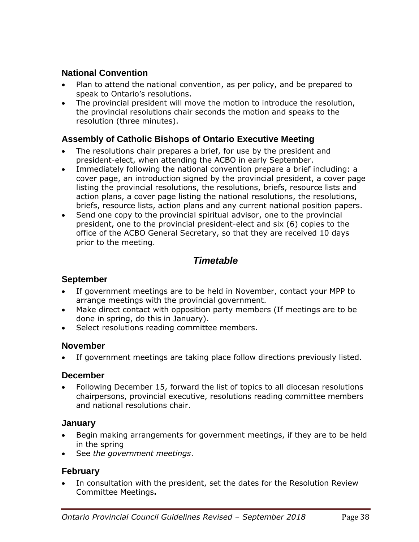#### **National Convention**

- Plan to attend the national convention, as per policy, and be prepared to speak to Ontario's resolutions.
- The provincial president will move the motion to introduce the resolution, the provincial resolutions chair seconds the motion and speaks to the resolution (three minutes).

#### **Assembly of Catholic Bishops of Ontario Executive Meeting**

- The resolutions chair prepares a brief, for use by the president and president-elect, when attending the ACBO in early September.
- Immediately following the national convention prepare a brief including: a cover page, an introduction signed by the provincial president, a cover page listing the provincial resolutions, the resolutions, briefs, resource lists and action plans, a cover page listing the national resolutions, the resolutions, briefs, resource lists, action plans and any current national position papers.
- Send one copy to the provincial spiritual advisor, one to the provincial president, one to the provincial president-elect and six (6) copies to the office of the ACBO General Secretary, so that they are received 10 days prior to the meeting.

## *Timetable*

#### **September**

- If government meetings are to be held in November, contact your MPP to arrange meetings with the provincial government.
- Make direct contact with opposition party members (If meetings are to be done in spring, do this in January).
- Select resolutions reading committee members.

#### **November**

If government meetings are taking place follow directions previously listed.

#### **December**

• Following December 15, forward the list of topics to all diocesan resolutions chairpersons, provincial executive, resolutions reading committee members and national resolutions chair.

#### **January**

- Begin making arrangements for government meetings, if they are to be held in the spring
- See *the government meetings*.

### **February**

In consultation with the president, set the dates for the Resolution Review Committee Meetings**.**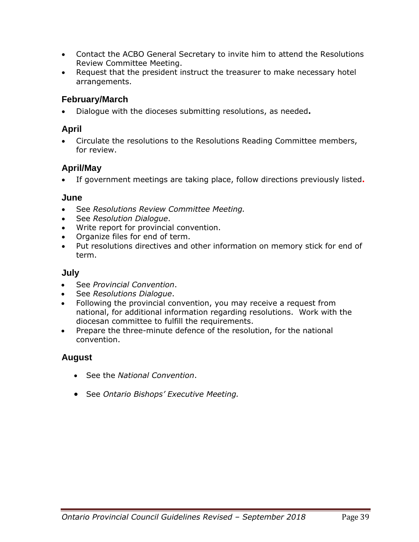- Contact the ACBO General Secretary to invite him to attend the Resolutions Review Committee Meeting.
- Request that the president instruct the treasurer to make necessary hotel arrangements.

#### **February/March**

• Dialogue with the dioceses submitting resolutions, as needed**.**

#### **April**

• Circulate the resolutions to the Resolutions Reading Committee members, for review.

### **April/May**

• If government meetings are taking place, follow directions previously listed**.**

#### **June**

- See *Resolutions Review Committee Meeting.*
- See *Resolution Dialogue*.
- Write report for provincial convention.
- Organize files for end of term.
- Put resolutions directives and other information on memory stick for end of term.

#### **July**

- See *Provincial Convention*.
- See *Resolutions Dialogue*.
- Following the provincial convention, you may receive a request from national, for additional information regarding resolutions. Work with the diocesan committee to fulfill the requirements.
- Prepare the three-minute defence of the resolution, for the national convention.

### **August**

- See the *National Convention*.
- See *Ontario Bishops' Executive Meeting.*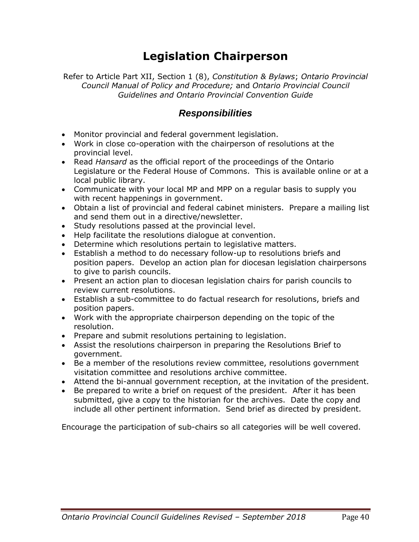# **Legislation Chairperson**

Refer to Article Part XII, Section 1 (8), *Constitution & Bylaws*; *Ontario Provincial Council Manual of Policy and Procedure;* and *Ontario Provincial Council Guidelines and Ontario Provincial Convention Guide*

#### *Responsibilities*

- Monitor provincial and federal government legislation.
- Work in close co-operation with the chairperson of resolutions at the provincial level.
- Read *Hansard* as the official report of the proceedings of the Ontario Legislature or the Federal House of Commons. This is available online or at a local public library.
- Communicate with your local MP and MPP on a regular basis to supply you with recent happenings in government.
- Obtain a list of provincial and federal cabinet ministers. Prepare a mailing list and send them out in a directive/newsletter.
- Study resolutions passed at the provincial level.
- Help facilitate the resolutions dialogue at convention.
- Determine which resolutions pertain to legislative matters.
- Establish a method to do necessary follow-up to resolutions briefs and position papers. Develop an action plan for diocesan legislation chairpersons to give to parish councils.
- Present an action plan to diocesan legislation chairs for parish councils to review current resolutions.
- Establish a sub-committee to do factual research for resolutions, briefs and position papers.
- Work with the appropriate chairperson depending on the topic of the resolution.
- Prepare and submit resolutions pertaining to legislation.
- Assist the resolutions chairperson in preparing the Resolutions Brief to government.
- Be a member of the resolutions review committee, resolutions government visitation committee and resolutions archive committee.
- Attend the bi-annual government reception, at the invitation of the president.
- Be prepared to write a brief on request of the president. After it has been submitted, give a copy to the historian for the archives. Date the copy and include all other pertinent information. Send brief as directed by president.

Encourage the participation of sub-chairs so all categories will be well covered.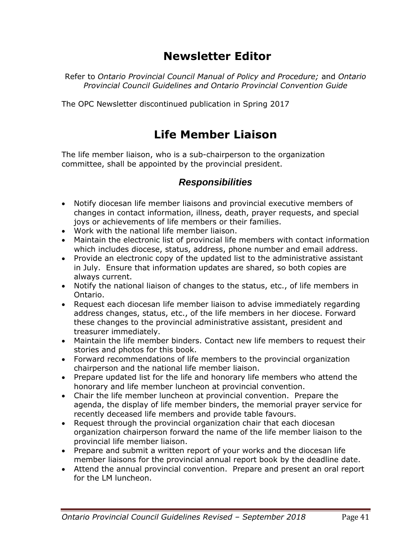## **Newsletter Editor**

Refer to *Ontario Provincial Council Manual of Policy and Procedure;* and *Ontario Provincial Council Guidelines and Ontario Provincial Convention Guide*

The OPC Newsletter discontinued publication in Spring 2017

## **Life Member Liaison**

The life member liaison, who is a sub-chairperson to the organization committee, shall be appointed by the provincial president.

### *Responsibilities*

- Notify diocesan life member liaisons and provincial executive members of changes in contact information, illness, death, prayer requests, and special joys or achievements of life members or their families.
- Work with the national life member liaison.
- Maintain the electronic list of provincial life members with contact information which includes diocese, status, address, phone number and email address.
- Provide an electronic copy of the updated list to the administrative assistant in July. Ensure that information updates are shared, so both copies are always current.
- Notify the national liaison of changes to the status, etc., of life members in Ontario.
- Request each diocesan life member liaison to advise immediately regarding address changes, status, etc., of the life members in her diocese. Forward these changes to the provincial administrative assistant, president and treasurer immediately.
- Maintain the life member binders. Contact new life members to request their stories and photos for this book.
- Forward recommendations of life members to the provincial organization chairperson and the national life member liaison.
- Prepare updated list for the life and honorary life members who attend the honorary and life member luncheon at provincial convention.
- Chair the life member luncheon at provincial convention. Prepare the agenda, the display of life member binders, the memorial prayer service for recently deceased life members and provide table favours.
- Request through the provincial organization chair that each diocesan organization chairperson forward the name of the life member liaison to the provincial life member liaison.
- Prepare and submit a written report of your works and the diocesan life member liaisons for the provincial annual report book by the deadline date.
- Attend the annual provincial convention. Prepare and present an oral report for the LM luncheon.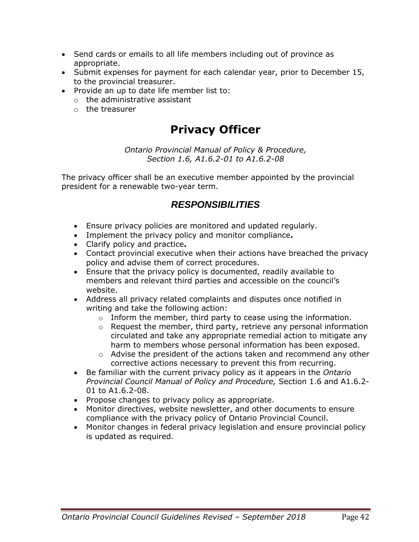- Send cards or emails to all life members including out of province as appropriate.
- Submit expenses for payment for each calendar year, prior to December 15, to the provincial treasurer.
- Provide an up to date life member list to:
	- o the administrative assistant
	- o the treasurer

## **Privacy Officer**

*Ontario Provincial Manual of Policy & Procedure, Section 1.6, A1.6.2-01 to A1.6.2-08*

The privacy officer shall be an executive member appointed by the provincial president for a renewable two-year term.

## *RESPONSIBILITIES*

- Ensure privacy policies are monitored and updated regularly.
- Implement the privacy policy and monitor compliance**.**
- Clarify policy and practice**.**
- Contact provincial executive when their actions have breached the privacy policy and advise them of correct procedures.
- Ensure that the privacy policy is documented, readily available to members and relevant third parties and accessible on the council's website.
- Address all privacy related complaints and disputes once notified in writing and take the following action:
	- $\circ$  Inform the member, third party to cease using the information.
	- $\circ$  Request the member, third party, retrieve any personal information circulated and take any appropriate remedial action to mitigate any harm to members whose personal information has been exposed.
	- o Advise the president of the actions taken and recommend any other corrective actions necessary to prevent this from recurring.
- Be familiar with the current privacy policy as it appears in the *Ontario Provincial Council Manual of Policy and Procedure,* Section 1.6 and A1.6.2- 01 to A1.6.2-08.
- Propose changes to privacy policy as appropriate.
- Monitor directives, website newsletter, and other documents to ensure compliance with the privacy policy of Ontario Provincial Council.
- Monitor changes in federal privacy legislation and ensure provincial policy is updated as required.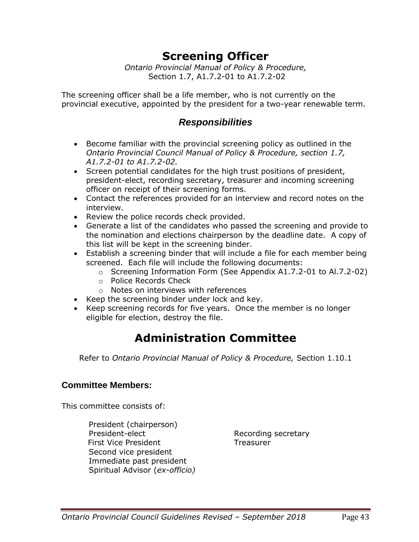## **Screening Officer**

*Ontario Provincial Manual of Policy & Procedure,* Section 1.7, A1.7.2-01 to A1.7.2-02

The screening officer shall be a life member, who is not currently on the provincial executive, appointed by the president for a two-year renewable term.

### *Responsibilities*

- Become familiar with the provincial screening policy as outlined in the *Ontario Provincial Council Manual of Policy & Procedure, section 1.7, A1.7.2-01 to A1.7.2-02.*
- Screen potential candidates for the high trust positions of president, president-elect, recording secretary, treasurer and incoming screening officer on receipt of their screening forms.
- Contact the references provided for an interview and record notes on the interview.
- Review the police records check provided.
- Generate a list of the candidates who passed the screening and provide to the nomination and elections chairperson by the deadline date. A copy of this list will be kept in the screening binder.
- Establish a screening binder that will include a file for each member being screened. Each file will include the following documents:
	- o Screening Information Form (See Appendix A1.7.2-01 to Al.7.2-02)
	- o Police Records Check
	- o Notes on interviews with references
- Keep the screening binder under lock and key.
- Keep screening records for five years. Once the member is no longer eligible for election, destroy the file.

## **Administration Committee**

Refer to *Ontario Provincial Manual of Policy & Procedure,* Section 1.10.1

#### **Committee Members:**

This committee consists of:

President (chairperson) President-elect Recording secretary First Vice President Treasurer Second vice president Immediate past president Spiritual Advisor (*ex-officio)*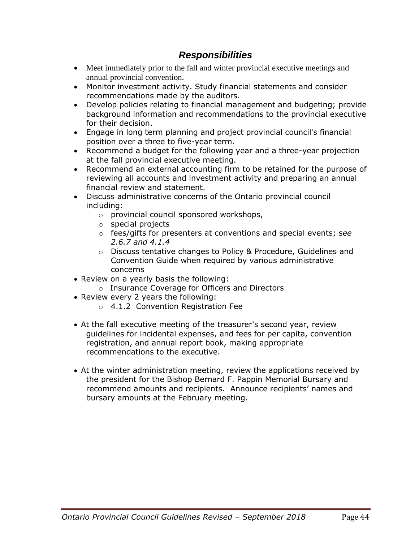### *Responsibilities*

- Meet immediately prior to the fall and winter provincial executive meetings and annual provincial convention.
- Monitor investment activity. Study financial statements and consider recommendations made by the auditors.
- Develop policies relating to financial management and budgeting; provide background information and recommendations to the provincial executive for their decision.
- Engage in long term planning and project provincial council's financial position over a three to five-year term.
- Recommend a budget for the following year and a three-year projection at the fall provincial executive meeting.
- Recommend an external accounting firm to be retained for the purpose of reviewing all accounts and investment activity and preparing an annual financial review and statement.
- Discuss administrative concerns of the Ontario provincial council including:
	- o provincial council sponsored workshops,
	- o special projects
	- o fees/gifts for presenters at conventions and special events; s*ee 2.6.7 and 4.1.4*
	- o Discuss tentative changes to Policy & Procedure, Guidelines and Convention Guide when required by various administrative concerns
- Review on a yearly basis the following:
	- o Insurance Coverage for Officers and Directors
- Review every 2 years the following:
	- o 4.1.2 Convention Registration Fee
- At the fall executive meeting of the treasurer's second year, review guidelines for incidental expenses, and fees for per capita, convention registration, and annual report book, making appropriate recommendations to the executive.
- At the winter administration meeting, review the applications received by the president for the Bishop Bernard F. Pappin Memorial Bursary and recommend amounts and recipients. Announce recipients' names and bursary amounts at the February meeting.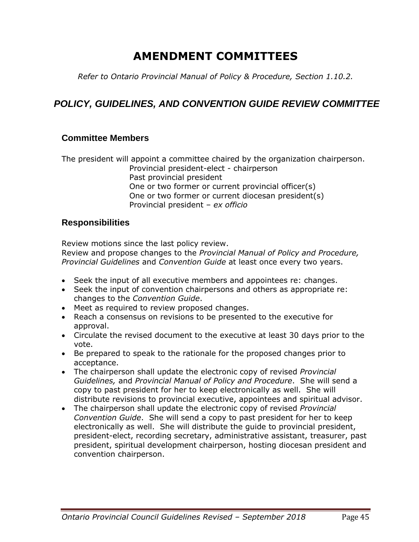## **AMENDMENT COMMITTEES**

*Refer to Ontario Provincial Manual of Policy & Procedure, Section 1.10.2.*

## *POLICY, GUIDELINES, AND CONVENTION GUIDE REVIEW COMMITTEE*

#### **Committee Members**

The president will appoint a committee chaired by the organization chairperson. Provincial president-elect - chairperson Past provincial president One or two former or current provincial officer(s) One or two former or current diocesan president(s) Provincial president – *ex officio*

#### **Responsibilities**

Review motions since the last policy review.

Review and propose changes to the *Provincial Manual of Policy and Procedure, Provincial Guidelines* and *Convention Guide* at least once every two years.

- Seek the input of all executive members and appointees re: changes.
- Seek the input of convention chairpersons and others as appropriate re: changes to the *Convention Guide*.
- Meet as required to review proposed changes.
- Reach a consensus on revisions to be presented to the executive for approval.
- Circulate the revised document to the executive at least 30 days prior to the vote.
- Be prepared to speak to the rationale for the proposed changes prior to acceptance.
- The chairperson shall update the electronic copy of revised *Provincial Guidelines,* and *Provincial Manual of Policy and Procedure*. She will send a copy to past president for her to keep electronically as well. She will distribute revisions to provincial executive, appointees and spiritual advisor.
- The chairperson shall update the electronic copy of revised *Provincial Convention Guide*. She will send a copy to past president for her to keep electronically as well. She will distribute the guide to provincial president, president-elect, recording secretary, administrative assistant, treasurer, past president, spiritual development chairperson, hosting diocesan president and convention chairperson.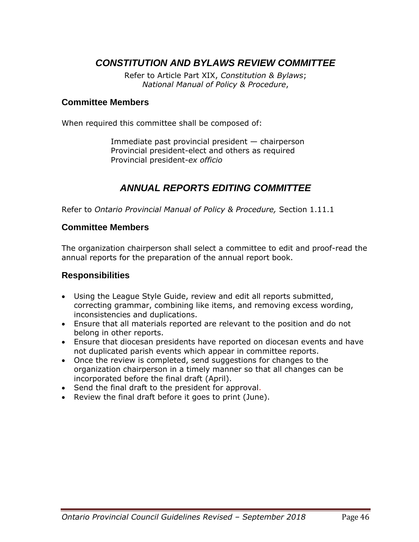## *CONSTITUTION AND BYLAWS REVIEW COMMITTEE*

Refer to Article Part XIX, *Constitution & Bylaws*; *National Manual of Policy & Procedure*,

#### **Committee Members**

When required this committee shall be composed of:

Immediate past provincial president — chairperson Provincial president-elect and others as required Provincial president-*ex officio*

#### *ANNUAL REPORTS EDITING COMMITTEE*

Refer to *Ontario Provincial Manual of Policy & Procedure,* Section 1.11.1

#### **Committee Members**

The organization chairperson shall select a committee to edit and proof-read the annual reports for the preparation of the annual report book.

#### **Responsibilities**

- Using the League Style Guide, review and edit all reports submitted, correcting grammar, combining like items, and removing excess wording, inconsistencies and duplications.
- Ensure that all materials reported are relevant to the position and do not belong in other reports.
- Ensure that diocesan presidents have reported on diocesan events and have not duplicated parish events which appear in committee reports.
- Once the review is completed, send suggestions for changes to the organization chairperson in a timely manner so that all changes can be incorporated before the final draft (April).
- Send the final draft to the president for approval.
- Review the final draft before it goes to print (June).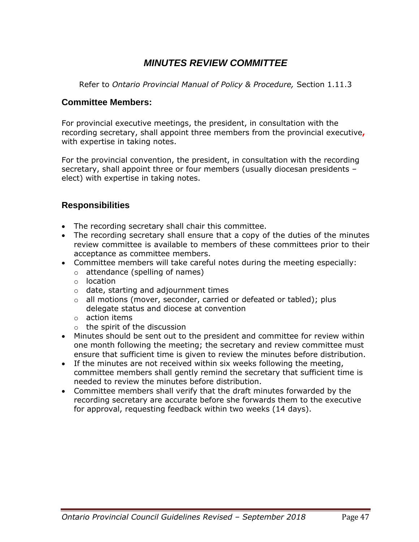## *MINUTES REVIEW COMMITTEE*

Refer to *Ontario Provincial Manual of Policy & Procedure,* Section 1.11.3

#### **Committee Members:**

For provincial executive meetings, the president, in consultation with the recording secretary, shall appoint three members from the provincial executive**,** with expertise in taking notes.

For the provincial convention, the president, in consultation with the recording secretary, shall appoint three or four members (usually diocesan presidents – elect) with expertise in taking notes.

#### **Responsibilities**

- The recording secretary shall chair this committee.
- The recording secretary shall ensure that a copy of the duties of the minutes review committee is available to members of these committees prior to their acceptance as committee members.
- Committee members will take careful notes during the meeting especially:
	- o attendance (spelling of names)
	- o location
	- o date, starting and adjournment times
	- o all motions (mover, seconder, carried or defeated or tabled); plus delegate status and diocese at convention
	- o action items
	- o the spirit of the discussion
- Minutes should be sent out to the president and committee for review within one month following the meeting; the secretary and review committee must ensure that sufficient time is given to review the minutes before distribution.
- If the minutes are not received within six weeks following the meeting, committee members shall gently remind the secretary that sufficient time is needed to review the minutes before distribution.
- Committee members shall verify that the draft minutes forwarded by the recording secretary are accurate before she forwards them to the executive for approval, requesting feedback within two weeks (14 days).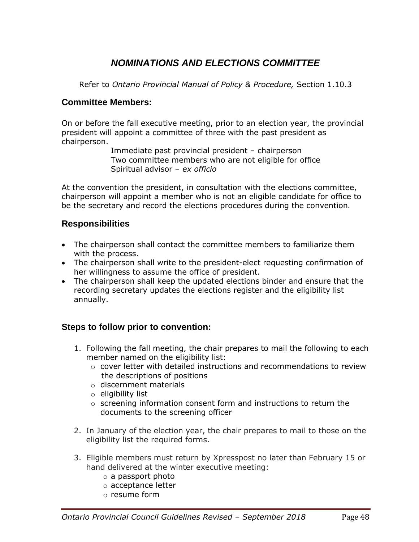## *NOMINATIONS AND ELECTIONS COMMITTEE*

Refer to *Ontario Provincial Manual of Policy & Procedure,* Section 1.10.3

#### **Committee Members:**

On or before the fall executive meeting, prior to an election year, the provincial president will appoint a committee of three with the past president as chairperson.

> Immediate past provincial president – chairperson Two committee members who are not eligible for office Spiritual advisor – *ex officio*

At the convention the president, in consultation with the elections committee, chairperson will appoint a member who is not an eligible candidate for office to be the secretary and record the elections procedures during the convention*.*

#### **Responsibilities**

- The chairperson shall contact the committee members to familiarize them with the process.
- The chairperson shall write to the president-elect requesting confirmation of her willingness to assume the office of president.
- The chairperson shall keep the updated elections binder and ensure that the recording secretary updates the elections register and the eligibility list annually.

#### **Steps to follow prior to convention:**

- 1. Following the fall meeting, the chair prepares to mail the following to each member named on the eligibility list:
	- o cover letter with detailed instructions and recommendations to review the descriptions of positions
	- o discernment materials
	- o eligibility list
	- $\circ$  screening information consent form and instructions to return the documents to the screening officer
- 2. In January of the election year, the chair prepares to mail to those on the eligibility list the required forms.
- 3. Eligible members must return by Xpresspost no later than February 15 or hand delivered at the winter executive meeting:
	- o a passport photo
	- o acceptance letter
	- o resume form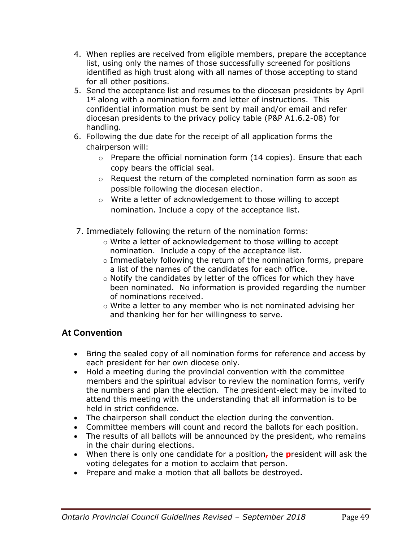- 4. When replies are received from eligible members, prepare the acceptance list, using only the names of those successfully screened for positions identified as high trust along with all names of those accepting to stand for all other positions.
- 5. Send the acceptance list and resumes to the diocesan presidents by April 1<sup>st</sup> along with a nomination form and letter of instructions. This confidential information must be sent by mail and/or email and refer diocesan presidents to the privacy policy table (P&P A1.6.2-08) for handling.
- 6. Following the due date for the receipt of all application forms the chairperson will:
	- $\circ$  Prepare the official nomination form (14 copies). Ensure that each copy bears the official seal.
	- $\circ$  Request the return of the completed nomination form as soon as possible following the diocesan election.
	- o Write a letter of acknowledgement to those willing to accept nomination. Include a copy of the acceptance list.
- 7. Immediately following the return of the nomination forms:
	- o Write a letter of acknowledgement to those willing to accept nomination. Include a copy of the acceptance list.
	- o Immediately following the return of the nomination forms, prepare a list of the names of the candidates for each office.
	- o Notify the candidates by letter of the offices for which they have been nominated. No information is provided regarding the number of nominations received.
	- o Write a letter to any member who is not nominated advising her and thanking her for her willingness to serve.

## **At Convention**

- Bring the sealed copy of all nomination forms for reference and access by each president for her own diocese only.
- Hold a meeting during the provincial convention with the committee members and the spiritual advisor to review the nomination forms, verify the numbers and plan the election. The president-elect may be invited to attend this meeting with the understanding that all information is to be held in strict confidence.
- The chairperson shall conduct the election during the convention.
- Committee members will count and record the ballots for each position.
- The results of all ballots will be announced by the president, who remains in the chair during elections.
- When there is only one candidate for a position**,** the **p**resident will ask the voting delegates for a motion to acclaim that person.
- Prepare and make a motion that all ballots be destroyed**.**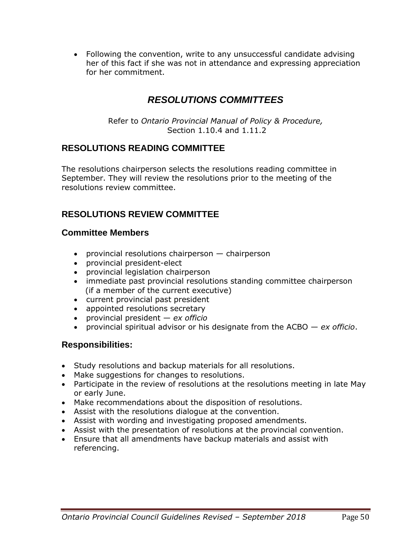• Following the convention, write to any unsuccessful candidate advising her of this fact if she was not in attendance and expressing appreciation for her commitment.

## *RESOLUTIONS COMMITTEES*

Refer to *Ontario Provincial Manual of Policy & Procedure,* Section 1.10.4 and 1.11.2

#### **RESOLUTIONS READING COMMITTEE**

The resolutions chairperson selects the resolutions reading committee in September. They will review the resolutions prior to the meeting of the resolutions review committee.

### **RESOLUTIONS REVIEW COMMITTEE**

#### **Committee Members**

- provincial resolutions chairperson chairperson
- provincial president-elect
- provincial legislation chairperson
- immediate past provincial resolutions standing committee chairperson (if a member of the current executive)
- current provincial past president
- appointed resolutions secretary
- provincial president *ex officio*
- provincial spiritual advisor or his designate from the ACBO *ex officio*.

#### **Responsibilities:**

- Study resolutions and backup materials for all resolutions.
- Make suggestions for changes to resolutions.
- Participate in the review of resolutions at the resolutions meeting in late May or early June.
- Make recommendations about the disposition of resolutions.
- Assist with the resolutions dialogue at the convention.
- Assist with wording and investigating proposed amendments.
- Assist with the presentation of resolutions at the provincial convention.
- Ensure that all amendments have backup materials and assist with referencing.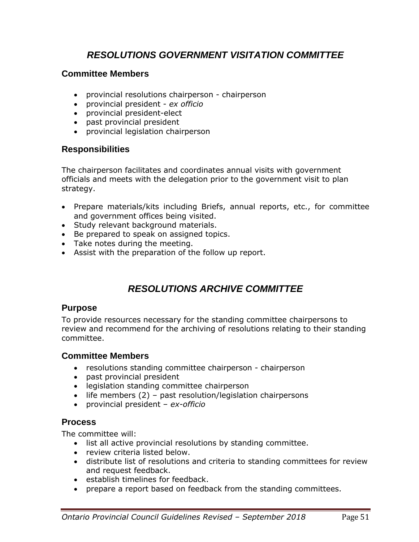## *RESOLUTIONS GOVERNMENT VISITATION COMMITTEE*

#### **Committee Members**

- provincial resolutions chairperson chairperson
- provincial president *ex officio*
- provincial president-elect
- past provincial president
- provincial legislation chairperson

#### **Responsibilities**

The chairperson facilitates and coordinates annual visits with government officials and meets with the delegation prior to the government visit to plan strategy.

- Prepare materials/kits including Briefs, annual reports, etc., for committee and government offices being visited.
- Study relevant background materials.
- Be prepared to speak on assigned topics.
- Take notes during the meeting.
- Assist with the preparation of the follow up report.

## *RESOLUTIONS ARCHIVE COMMITTEE*

#### **Purpose**

To provide resources necessary for the standing committee chairpersons to review and recommend for the archiving of resolutions relating to their standing committee.

#### **Committee Members**

- resolutions standing committee chairperson chairperson
- past provincial president
- legislation standing committee chairperson
- life members (2) past resolution/legislation chairpersons
- provincial president *ex-officio*

#### **Process**

The committee will:

- list all active provincial resolutions by standing committee.
- review criteria listed below.
- distribute list of resolutions and criteria to standing committees for review and request feedback.
- establish timelines for feedback.
- prepare a report based on feedback from the standing committees.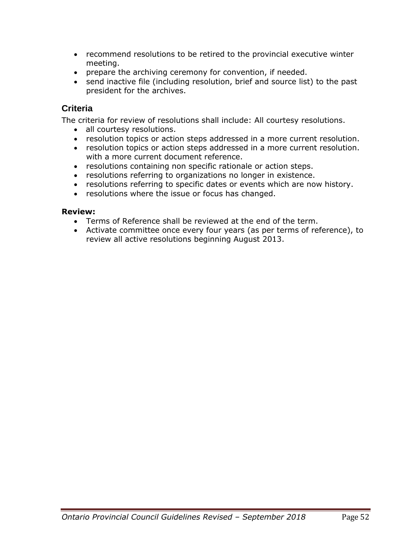- recommend resolutions to be retired to the provincial executive winter meeting.
- prepare the archiving ceremony for convention, if needed.
- send inactive file (including resolution, brief and source list) to the past president for the archives.

#### **Criteria**

The criteria for review of resolutions shall include: All courtesy resolutions.

- all courtesy resolutions.
- resolution topics or action steps addressed in a more current resolution.
- resolution topics or action steps addressed in a more current resolution. with a more current document reference.
- resolutions containing non specific rationale or action steps.
- resolutions referring to organizations no longer in existence.
- resolutions referring to specific dates or events which are now history.
- resolutions where the issue or focus has changed.

#### **Review:**

- Terms of Reference shall be reviewed at the end of the term.
- Activate committee once every four years (as per terms of reference), to review all active resolutions beginning August 2013.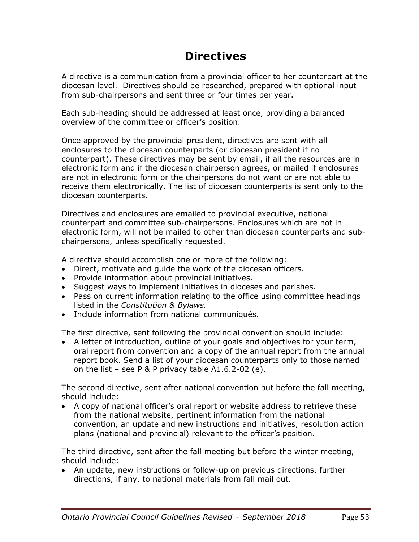## **Directives**

A directive is a communication from a provincial officer to her counterpart at the diocesan level. Directives should be researched, prepared with optional input from sub-chairpersons and sent three or four times per year.

Each sub-heading should be addressed at least once, providing a balanced overview of the committee or officer's position.

Once approved by the provincial president, directives are sent with all enclosures to the diocesan counterparts (or diocesan president if no counterpart). These directives may be sent by email, if all the resources are in electronic form and if the diocesan chairperson agrees, or mailed if enclosures are not in electronic form or the chairpersons do not want or are not able to receive them electronically. The list of diocesan counterparts is sent only to the diocesan counterparts.

Directives and enclosures are emailed to provincial executive, national counterpart and committee sub-chairpersons. Enclosures which are not in electronic form, will not be mailed to other than diocesan counterparts and subchairpersons, unless specifically requested.

A directive should accomplish one or more of the following:

- Direct, motivate and guide the work of the diocesan officers.
- Provide information about provincial initiatives.
- Suggest ways to implement initiatives in dioceses and parishes.
- Pass on current information relating to the office using committee headings listed in the *Constitution & Bylaws.*
- Include information from national communiqués.

The first directive, sent following the provincial convention should include:

• A letter of introduction, outline of your goals and objectives for your term, oral report from convention and a copy of the annual report from the annual report book. Send a list of your diocesan counterparts only to those named on the list – see P & P privacy table  $A1.6.2-02$  (e).

The second directive, sent after national convention but before the fall meeting, should include:

• A copy of national officer's oral report or website address to retrieve these from the national website, pertinent information from the national convention, an update and new instructions and initiatives, resolution action plans (national and provincial) relevant to the officer's position.

The third directive, sent after the fall meeting but before the winter meeting, should include:

• An update, new instructions or follow-up on previous directions, further directions, if any, to national materials from fall mail out.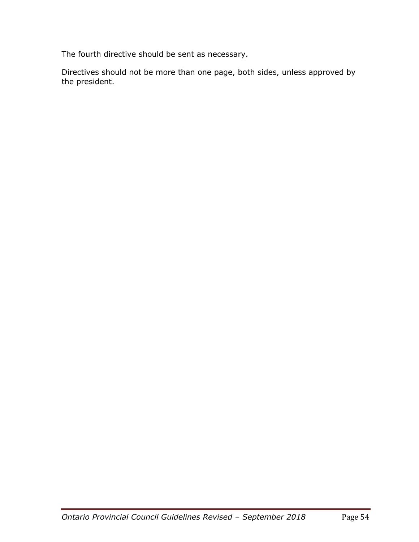The fourth directive should be sent as necessary.

Directives should not be more than one page, both sides, unless approved by the president.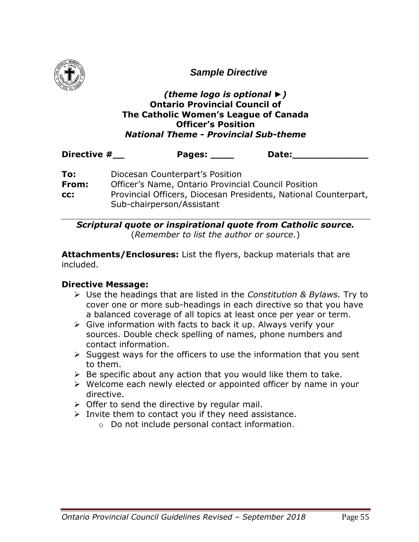

*Sample Directive* 

#### *(theme logo is optional ►)*  **Ontario Provincial Council of The Catholic Women's League of Canada Officer's Position** *National Theme - Provincial Sub-theme*

| Directive # | Pages: | Date: |
|-------------|--------|-------|
|             |        |       |

| To:   | Diocesan Counterpart's Position                                 |
|-------|-----------------------------------------------------------------|
| From: | Officer's Name, Ontario Provincial Council Position             |
| CC:   | Provincial Officers, Diocesan Presidents, National Counterpart, |
|       | Sub-chairperson/Assistant                                       |

*Scriptural quote or inspirational quote from Catholic source.* (*Remember to list the author or source.*)

**Attachments/Enclosures:** List the flyers, backup materials that are included.

#### **Directive Message:**

- ➢ Use the headings that are listed in the *Constitution & Bylaws.* Try to cover one or more sub-headings in each directive so that you have a balanced coverage of all topics at least once per year or term.
- ➢ Give information with facts to back it up. Always verify your sources. Double check spelling of names, phone numbers and contact information.
- $\triangleright$  Suggest ways for the officers to use the information that you sent to them.
- $\triangleright$  Be specific about any action that you would like them to take.
- ➢ Welcome each newly elected or appointed officer by name in your directive.
- $\triangleright$  Offer to send the directive by regular mail.
- $\triangleright$  Invite them to contact you if they need assistance.
	- o Do not include personal contact information.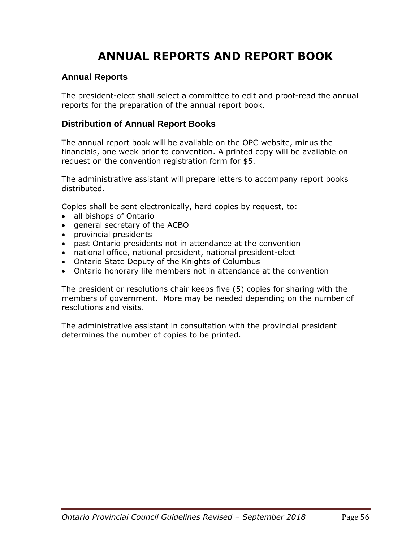# **ANNUAL REPORTS AND REPORT BOOK**

#### **Annual Reports**

The president-elect shall select a committee to edit and proof-read the annual reports for the preparation of the annual report book.

#### **Distribution of Annual Report Books**

The annual report book will be available on the OPC website, minus the financials, one week prior to convention. A printed copy will be available on request on the convention registration form for \$5.

The administrative assistant will prepare letters to accompany report books distributed.

Copies shall be sent electronically, hard copies by request, to:

- all bishops of Ontario
- general secretary of the ACBO
- provincial presidents
- past Ontario presidents not in attendance at the convention
- national office, national president, national president-elect
- Ontario State Deputy of the Knights of Columbus
- Ontario honorary life members not in attendance at the convention

The president or resolutions chair keeps five (5) copies for sharing with the members of government. More may be needed depending on the number of resolutions and visits.

The administrative assistant in consultation with the provincial president determines the number of copies to be printed.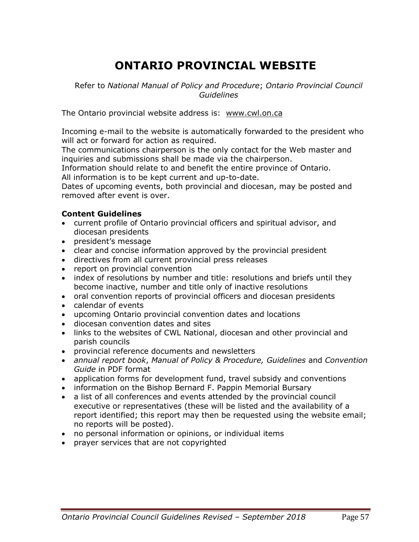# **ONTARIO PROVINCIAL WEBSITE**

Refer to *National Manual of Policy and Procedure*; *Ontario Provincial Council Guidelines*

The Ontario provincial website address is: [www.cwl.on.ca](http://www.cwl.on.ca/)

Incoming e-mail to the website is automatically forwarded to the president who will act or forward for action as required.

The communications chairperson is the only contact for the Web master and inquiries and submissions shall be made via the chairperson.

Information should relate to and benefit the entire province of Ontario. All information is to be kept current and up-to-date.

Dates of upcoming events, both provincial and diocesan, may be posted and removed after event is over.

#### **Content Guidelines**

- current profile of Ontario provincial officers and spiritual advisor, and diocesan presidents
- president's message
- clear and concise information approved by the provincial president
- directives from all current provincial press releases
- report on provincial convention
- index of resolutions by number and title: resolutions and briefs until they become inactive, number and title only of inactive resolutions
- oral convention reports of provincial officers and diocesan presidents
- calendar of events
- upcoming Ontario provincial convention dates and locations
- diocesan convention dates and sites
- links to the websites of CWL National, diocesan and other provincial and parish councils
- provincial reference documents and newsletters
- *annual report book*, *Manual of Policy & Procedure, Guidelines* and *Convention Guide* in PDF format
- application forms for development fund, travel subsidy and conventions
- information on the Bishop Bernard F. Pappin Memorial Bursary
- a list of all conferences and events attended by the provincial council executive or representatives (these will be listed and the availability of a report identified; this report may then be requested using the website email; no reports will be posted).
- no personal information or opinions, or individual items
- prayer services that are not copyrighted